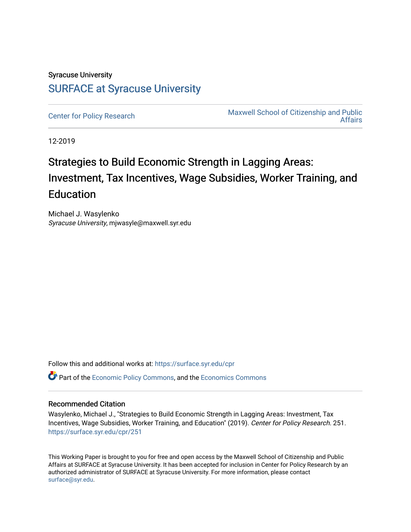# Syracuse University [SURFACE at Syracuse University](https://surface.syr.edu/)

[Center for Policy Research](https://surface.syr.edu/cpr) Maxwell School of Citizenship and Public [Affairs](https://surface.syr.edu/maxwell) 

12-2019

# Strategies to Build Economic Strength in Lagging Areas: Investment, Tax Incentives, Wage Subsidies, Worker Training, and Education

Michael J. Wasylenko Syracuse University, mjwasyle@maxwell.syr.edu

Follow this and additional works at: [https://surface.syr.edu/cpr](https://surface.syr.edu/cpr?utm_source=surface.syr.edu%2Fcpr%2F251&utm_medium=PDF&utm_campaign=PDFCoverPages) 

**C** Part of the [Economic Policy Commons](http://network.bepress.com/hgg/discipline/1025?utm_source=surface.syr.edu%2Fcpr%2F251&utm_medium=PDF&utm_campaign=PDFCoverPages), and the [Economics Commons](http://network.bepress.com/hgg/discipline/340?utm_source=surface.syr.edu%2Fcpr%2F251&utm_medium=PDF&utm_campaign=PDFCoverPages)

# Recommended Citation

Wasylenko, Michael J., "Strategies to Build Economic Strength in Lagging Areas: Investment, Tax Incentives, Wage Subsidies, Worker Training, and Education" (2019). Center for Policy Research. 251. [https://surface.syr.edu/cpr/251](https://surface.syr.edu/cpr/251?utm_source=surface.syr.edu%2Fcpr%2F251&utm_medium=PDF&utm_campaign=PDFCoverPages) 

This Working Paper is brought to you for free and open access by the Maxwell School of Citizenship and Public Affairs at SURFACE at Syracuse University. It has been accepted for inclusion in Center for Policy Research by an authorized administrator of SURFACE at Syracuse University. For more information, please contact [surface@syr.edu.](mailto:surface@syr.edu)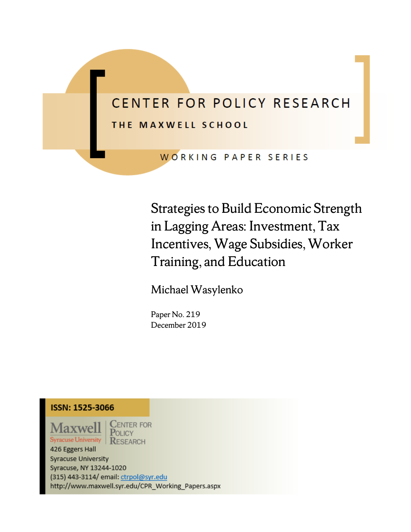# CENTER FOR POLICY RESEARCH THE MAXWELL SCHOOL

WORKING PAPER SERIES

Strategies to Build Economic Strength in Lagging Areas: Investment, Tax Incentives, Wage Subsidies, Worker Training, and Education

Michael Wasylenko

Paper No. 219 December 2019

# **ISSN: 1525-3066**

axwell **Syracuse University** 

 $C$ ENTER FOR POLICY **RESEARCH** 

426 Eggers Hall **Syracuse University** Syracuse, NY 13244-1020 (315) 443-3114/ email: ctrpol@syr.edu http://www.maxwell.syr.edu/CPR\_Working\_Papers.aspx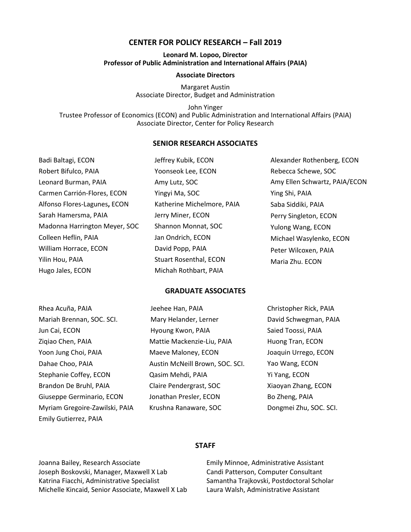#### **CENTER FOR POLICY RESEARCH – Fall 2019**

#### **Leonard M. Lopoo, Director Professor of Public Administration and International Affairs (PAIA)**

#### **Associate Directors**

Margaret Austin Associate Director, Budget and Administration

John Yinger Trustee Professor of Economics (ECON) and Public Administration and International Affairs (PAIA) Associate Director, Center for Policy Research

#### **SENIOR RESEARCH ASSOCIATES**

| Badi Baltagi, ECON            | Jeffrey Kubik, ECON           | Alexander Rothenberg, ECON    |
|-------------------------------|-------------------------------|-------------------------------|
| Robert Bifulco, PAIA          | Yoonseok Lee, ECON            | Rebecca Schewe, SOC           |
| Leonard Burman, PAIA          | Amy Lutz, SOC                 | Amy Ellen Schwartz, PAIA/ECON |
| Carmen Carrión-Flores, ECON   | Yingyi Ma, SOC                | Ying Shi, PAIA                |
| Alfonso Flores-Lagunes, ECON  | Katherine Michelmore, PAIA    | Saba Siddiki, PAIA            |
| Sarah Hamersma, PAIA          | Jerry Miner, ECON             | Perry Singleton, ECON         |
| Madonna Harrington Meyer, SOC | Shannon Monnat, SOC           | Yulong Wang, ECON             |
| Colleen Heflin, PAIA          | Jan Ondrich, ECON             | Michael Wasylenko, ECON       |
| William Horrace, ECON         | David Popp, PAIA              | Peter Wilcoxen, PAIA          |
| Yilin Hou, PAIA               | <b>Stuart Rosenthal, ECON</b> | Maria Zhu. ECON               |
| Hugo Jales, ECON              | Michah Rothbart, PAIA         |                               |

#### **GRADUATE ASSOCIATES**

| Rhea Acuña, PAIA               | Jeehee Han, PAIA                | Christopher Rick, PAIA |
|--------------------------------|---------------------------------|------------------------|
| Mariah Brennan, SOC. SCI.      | Mary Helander, Lerner           | David Schwegman, PAIA  |
| Jun Cai, ECON                  | Hyoung Kwon, PAIA               | Saied Toossi, PAIA     |
| Zigiao Chen, PAIA              | Mattie Mackenzie-Liu, PAIA      | Huong Tran, ECON       |
| Yoon Jung Choi, PAIA           | Maeve Maloney, ECON             | Joaquin Urrego, ECON   |
| Dahae Choo, PAIA               | Austin McNeill Brown, SOC. SCI. | Yao Wang, ECON         |
| Stephanie Coffey, ECON         | Qasim Mehdi, PAIA               | Yi Yang, ECON          |
| Brandon De Bruhl, PAIA         | Claire Pendergrast, SOC         | Xiaoyan Zhang, ECON    |
| Giuseppe Germinario, ECON      | Jonathan Presler, ECON          | Bo Zheng, PAIA         |
| Myriam Gregoire-Zawilski, PAIA | Krushna Ranaware, SOC           | Dongmei Zhu, SOC. SCI. |
| Emily Gutierrez, PAIA          |                                 |                        |

#### **STAFF**

Joanna Bailey, Research Associate Joseph Boskovski, Manager, Maxwell X Lab Katrina Fiacchi, Administrative Specialist Michelle Kincaid, Senior Associate, Maxwell X Lab

Emily Minnoe, Administrative Assistant Candi Patterson, Computer Consultant Samantha Trajkovski, Postdoctoral Scholar Laura Walsh, Administrative Assistant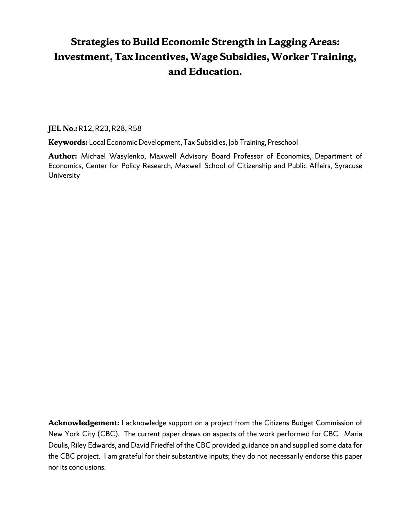# **Strategies to Build Economic Strength in Lagging Areas: Investment, Tax Incentives, Wage Subsidies, Worker Training, and Education.**

**JEL No.:** R12, R23, R28, R58

**Keywords:** Local Economic Development, Tax Subsidies, Job Training, Preschool

**Author:** Michael Wasylenko, Maxwell Advisory Board Professor of Economics, Department of Economics, Center for Policy Research, Maxwell School of Citizenship and Public Affairs, Syracuse University

**Acknowledgement:** I acknowledge support on a project from the Citizens Budget Commission of New York City (CBC). The current paper draws on aspects of the work performed for CBC. Maria Doulis, Riley Edwards, and David Friedfel of the CBC provided guidance on and supplied some data for the CBC project. I am grateful for their substantive inputs; they do not necessarily endorse this paper nor its conclusions.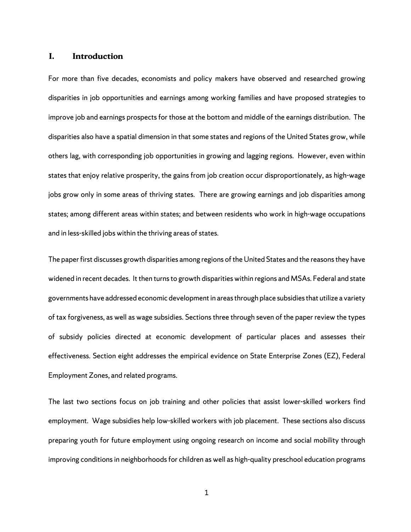### **I. Introduction**

For more than five decades, economists and policy makers have observed and researched growing disparities in job opportunities and earnings among working families and have proposed strategies to improve job and earnings prospects for those at the bottom and middle of the earnings distribution. The disparities also have a spatial dimension in that some states and regions of the United States grow, while others lag, with corresponding job opportunities in growing and lagging regions. However, even within states that enjoy relative prosperity, the gains from job creation occur disproportionately, as high-wage jobs grow only in some areas of thriving states. There are growing earnings and job disparities among states; among different areas within states; and between residents who work in high-wage occupations and in less-skilled jobs within the thriving areas of states.

The paper first discusses growth disparities among regions of the United States and the reasons they have widened in recent decades. It then turns to growth disparities within regions and MSAs. Federal and state governments have addressed economic development in areas through place subsidies that utilize a variety of tax forgiveness, as well as wage subsidies. Sections three through seven of the paper review the types of subsidy policies directed at economic development of particular places and assesses their effectiveness. Section eight addresses the empirical evidence on State Enterprise Zones (EZ), Federal Employment Zones, and related programs.

The last two sections focus on job training and other policies that assist lower-skilled workers find employment. Wage subsidies help low-skilled workers with job placement. These sections also discuss preparing youth for future employment using ongoing research on income and social mobility through improving conditions in neighborhoods for children as well as high-quality preschool education programs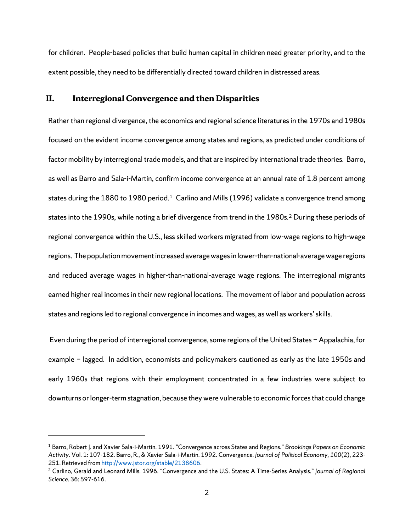for children. People-based policies that build human capital in children need greater priority, and to the extent possible, they need to be differentially directed toward children in distressed areas.

#### **II. Interregional Convergence and then Disparities**

Rather than regional divergence, the economics and regional science literatures in the 1970s and 1980s focused on the evident income convergence among states and regions, as predicted under conditions of factor mobility by interregional trade models, and that are inspired by international trade theories. Barro, as well as Barro and Sala-i-Martin, confirm income convergence at an annual rate of 1.8 percent among states during the [1](#page-5-0)880 to 1980 period.<sup>1</sup> Carlino and Mills (1996) validate a convergence trend among states into the 1990s, while noting a brief divergence from trend in the 1980s.[2](#page-5-1) During these periods of regional convergence within the U.S., less skilled workers migrated from low-wage regions to high-wage regions. The population movement increased average wages in lower-than-national-average wage regions and reduced average wages in higher-than-national-average wage regions. The interregional migrants earned higher real incomes in their new regional locations. The movement of labor and population across states and regions led to regional convergence in incomes and wages, as well as workers' skills.

Even during the period of interregional convergence, some regions of the United States − Appalachia, for example − lagged. In addition, economists and policymakers cautioned as early as the late 1950s and early 1960s that regions with their employment concentrated in a few industries were subject to downturns or longer-term stagnation, because they were vulnerable to economic forces that could change

<span id="page-5-0"></span><sup>1</sup> Barro, Robert J. and Xavier Sala-i-Martin. 1991. "Convergence across States and Regions." *Brookings Papers on Economic Activity*. Vol. 1: 107-182. Barro, R., & Xavier Sala-i-Martin. 1992. Convergence. *Journal of Political Economy, 100*(2), 223- 251. Retrieved from http://www.jstor.org/stable/2138606.<br><sup>2</sup> Carlino, Gerald and Leonard Mills. 1996. "Convergence and the U.S. States: A Time-Series Analysis." *Journal of Regional* 

<span id="page-5-1"></span>*Science.* 36: 597-616.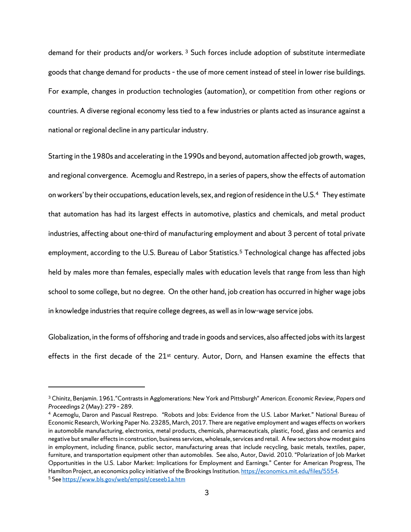demand for their products and/or workers. [3](#page-6-0) Such forces include adoption of substitute intermediate goods that change demand for products – the use of more cement instead of steel in lower rise buildings. For example, changes in production technologies (automation), or competition from other regions or countries. A diverse regional economy less tied to a few industries or plants acted as insurance against a national or regional decline in any particular industry.

Starting in the 1980s and accelerating in the 1990s and beyond, automation affected job growth, wages, and regional convergence. Acemoglu and Restrepo, in a series of papers, show the effects of automation on workers' by their occupations, education levels, sex, and region of residence in the U.S[.4.](#page-6-1) They estimate that automation has had its largest effects in automotive, plastics and chemicals, and metal product industries, affecting about one-third of manufacturing employment and about 3 percent of total private employment, according to the U.S. Bureau of Labor Statistics.<sup>[5](#page-6-2)</sup> Technological change has affected jobs held by males more than females, especially males with education levels that range from less than high school to some college, but no degree. On the other hand, job creation has occurred in higher wage jobs in knowledge industries that require college degrees, as well as in low-wage service jobs.

Globalization, in the forms of offshoring and trade in goods and services, also affected jobs with its largest effects in the first decade of the 21<sup>st</sup> century. Autor, Dorn, and Hansen examine the effects that

<span id="page-6-0"></span><sup>3</sup> Chinitz, Benjamin. 1961."Contrasts in Agglomerations: New York and Pittsburgh" *American. Economic Review, Papers and Proceedings* 2 (May): 279 – 289.

<span id="page-6-1"></span><sup>4</sup> Acemoglu, Daron and Pascual Restrepo. "Robots and Jobs: Evidence from the U.S. Labor Market." National Bureau of Economic Research, Working Paper No. 23285, March, 2017. There are negative employment and wages effects on workers in automobile manufacturing, electronics, metal products, chemicals, pharmaceuticals, plastic, food, glass and ceramics and negative but smaller effects in construction, business services, wholesale, services and retail. A few sectors show modest gains in employment, including finance, public sector, manufacturing areas that include recycling, basic metals, textiles, paper, furniture, and transportation equipment other than automobiles. See also, Autor, David. 2010. "Polarization of Job Market Opportunities in the U.S. Labor Market: Implications for Employment and Earnings." Center for American Progress, The Hamilton Project, an economics policy initiative of the Brookings Institution[. https://economics.mit.edu/files/5554](https://economics.mit.edu/files/5554)*.*

<span id="page-6-2"></span><sup>5</sup> Se[e https://www.bls.gov/web/empsit/ceseeb1a.htm](https://www.bls.gov/web/empsit/ceseeb1a.htm)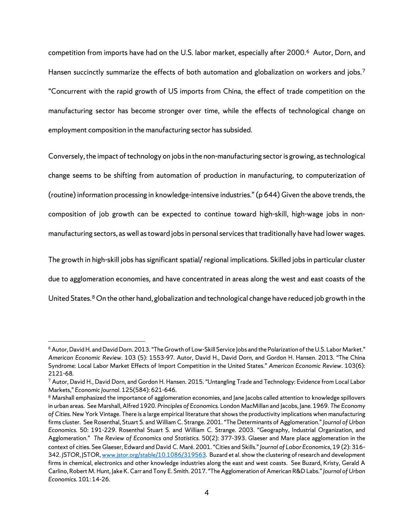competition from imports have had on the U.S. labor market, especially after 2000.[6](#page-7-0) Autor, Dorn, and Hansen succinctly summarize the effects of both automation and globalization on workers and jobs.<sup>[7](#page-7-1)</sup> "Concurrent with the rapid growth of US imports from China, the effect of trade competition on the manufacturing sector has become stronger over time, while the effects of technological change on employment composition in the manufacturing sector has subsided.

Conversely, the impact of technology on jobs in the non-manufacturing sector is growing, as technological change seems to be shifting from automation of production in manufacturing, to computerization of (routine) information processing in knowledge-intensive industries." (p 644) Given the above trends, the composition of job growth can be expected to continue toward high-skill, high-wage jobs in nonmanufacturing sectors, as well as toward jobs in personal services that traditionally have had lower wages.

The growth in high-skill jobs has significant spatial/ regional implications. Skilled jobs in particular cluster due to agglomeration economies, and have concentrated in areas along the west and east coasts of the United States.<sup>[8](#page-7-2)</sup> On the other hand, globalization and technological change have reduced job growth in the

<span id="page-7-0"></span><sup>&</sup>lt;sup>6</sup> Autor, David H. and David Dorn. 2013. "The Growth of Low-Skill Service Jobs and the Polarization of the U.S. Labor Market." *American Economic Review*. 103 (5): 1553-97*.* Autor, David H., David Dorn, and Gordon H. Hansen. 2013. "The China Syndrome: Local Labor Market Effects of Import Competition in the United States." *American Economic Review*. 103(6): 2121-68*.* 

<span id="page-7-1"></span><sup>7</sup> Autor, David H., David Dorn, and Gordon H. Hansen. 2015. "Untangling Trade and Technology: Evidence from Local Labor Markets," *Economic Journal*. 125(584): 621-646*.*

<span id="page-7-2"></span><sup>&</sup>lt;sup>8</sup> Marshall emphasized the importance of agglomeration economies, and Jane Jacobs called attention to knowledge spillovers in urban areas. See Marshall, Alfred 1920. *Principles of Economics.* London MacMillan and Jacobs, Jane. 1969. *The Economy of Cities.* New York Vintage. There is a large empirical literature that shows the productivity implications when manufacturing firms cluster. See Rosenthal, Stuart S. and William C. Strange. 2001. "The Determinants of Agglomeration." *Journal of Urban Economics.* 50: 191-229. Rosenthal Stuart S. and William C. Strange. 2003. "Geography, Industrial Organization, and Agglomeration." *The Review of Economics and Statistics.* 50(2): 377-393. Glaeser and Mare place agglomeration in the context of cities. See Glaeser, Edward and David C. Maré. 2001. "Cities and Skills." *Journal of Labor Economics*, 19 (2): 316– 342. *JSTOR*, *JSTOR*[, www.jstor.org/stable/10.1086/319563.](http://www.jstor.org/stable/10.1086/319563) Buzard et al. show the clustering of research and development firms in chemical, electronics and other knowledge industries along the east and west coasts. See Buzard, Kristy, Gerald A Carlino, Robert M. Hunt, Jake K. Carr and Tony E. Smith. 2017. "The Agglomeration of American R&D Labs." *Journal of Urban Economics.* 101: 14-26.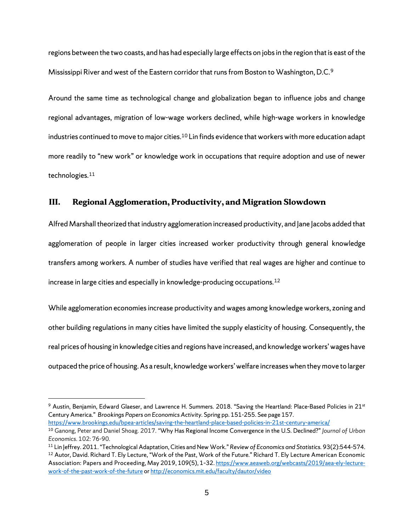regions between the two coasts, and has had especially large effects on jobs in the region that is east of the Mississippi River and west of the Eastern corridor that runs from Boston to Washington, D.C.[9](#page-8-0)

Around the same time as technological change and globalization began to influence jobs and change regional advantages, migration of low-wage workers declined, while high-wage workers in knowledge industries continued to move to major cities.<sup>[10](#page-8-1)</sup> Lin finds evidence that workers with more education adapt more readily to "new work" or knowledge work in occupations that require adoption and use of newer technologies.[11](#page-8-2) 

#### **III. Regional Agglomeration, Productivity, and Migration Slowdown**

Alfred Marshall theorized that industry agglomeration increased productivity, and Jane Jacobs added that agglomeration of people in larger cities increased worker productivity through general knowledge transfers among workers. A number of studies have verified that real wages are higher and continue to increase in large cities and especially in knowledge-producing occupations.[12](#page-8-3) 

While agglomeration economies increase productivity and wages among knowledge workers, zoning and other building regulations in many cities have limited the supply elasticity of housing. Consequently, the real prices of housing in knowledge cities and regions have increased, and knowledge workers' wages have outpaced the price of housing. As a result, knowledge workers' welfare increases when they move to larger

<span id="page-8-0"></span><sup>&</sup>lt;sup>9</sup> Austin, Benjamin, Edward Glaeser, and Lawrence H. Summers. 2018. "Saving the Heartland: Place-Based Policies in 21<sup>st</sup> Century America." *Brookings Papers on Economics Activity.* Spring pp. 151-255. See page 157.

<span id="page-8-1"></span>https://www.brookings.edu/bpea-articles/saving-the-heartland-place-based-policies-in-21st-century-america/<br><sup>10</sup> Ganong, Peter and Daniel Shoag. 2017. "Why Has Regional Income Convergence in the U.S. Declined?" /ournal of U *Economics*. 102: 76-90. 11 Lin Jeffrey. 2011. "Technological Adaptation, Cities and New Work." *Review of Economics and Statistics.* 93(2):544-574.

<span id="page-8-3"></span><span id="page-8-2"></span><sup>&</sup>lt;sup>12</sup> Autor, David. Richard T. Ely Lecture, "Work of the Past, Work of the Future." Richard T. Ely Lecture American Economic Association: Papers and Proceeding, May 2019, 109(5), 1-32[. https://www.aeaweb.org/webcasts/2019/aea-ely-lecture](https://www.aeaweb.org/webcasts/2019/aea-ely-lecture-work-of-the-past-work-of-the-future)[work-of-the-past-work-of-the-future](https://www.aeaweb.org/webcasts/2019/aea-ely-lecture-work-of-the-past-work-of-the-future) o[r http://economics.mit.edu/faculty/dautor/video](http://economics.mit.edu/faculty/dautor/video)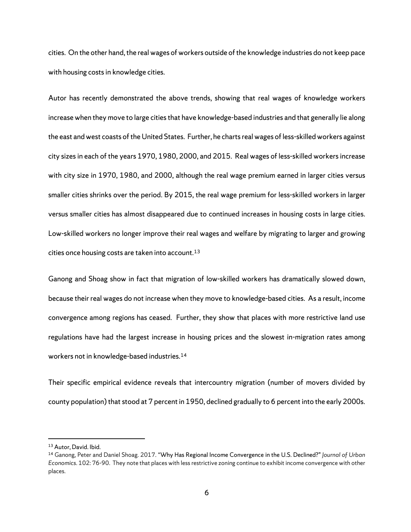cities. On the other hand, the real wages of workers outside of the knowledge industries do not keep pace with housing costs in knowledge cities.

Autor has recently demonstrated the above trends, showing that real wages of knowledge workers increase when they move to large cities that have knowledge-based industries and that generally lie along the east and west coasts of the United States. Further, he charts real wages of less-skilled workers against city sizes in each of the years 1970, 1980, 2000, and 2015. Real wages of less-skilled workers increase with city size in 1970, 1980, and 2000, although the real wage premium earned in larger cities versus smaller cities shrinks over the period. By 2015, the real wage premium for less-skilled workers in larger versus smaller cities has almost disappeared due to continued increases in housing costs in large cities. Low-skilled workers no longer improve their real wages and welfare by migrating to larger and growing cities once housing costs are taken into account.<sup>[13](#page-9-0)</sup>

Ganong and Shoag show in fact that migration of low-skilled workers has dramatically slowed down, because their real wages do not increase when they move to knowledge-based cities. As a result, income convergence among regions has ceased. Further, they show that places with more restrictive land use regulations have had the largest increase in housing prices and the slowest in-migration rates among workers not in knowledge-based industries.[14](#page-9-1)

Their specific empirical evidence reveals that intercountry migration (number of movers divided by county population) that stood at 7 percent in 1950, declined gradually to 6 percent into the early 2000s.

<span id="page-9-0"></span><sup>13</sup> Autor, David. Ibid.

<span id="page-9-1"></span><sup>14</sup> Ganong, Peter and Daniel Shoag. 2017. ["Why Has Regional Income Convergence in the U.S. Declined?"](https://scholar.harvard.edu/shoag/publications/why-has-regional-income-convergence-usdeclined) *Journal of Urban Economics*. 102: 76-90. They note that places with less restrictive zoning continue to exhibit income convergence with other places.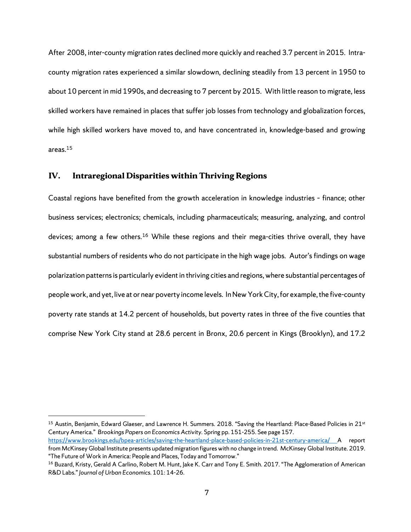After 2008, inter-county migration rates declined more quickly and reached 3.7 percent in 2015. Intracounty migration rates experienced a similar slowdown, declining steadily from 13 percent in 1950 to about 10 percent in mid 1990s, and decreasing to 7 percent by 2015. With little reason to migrate, less skilled workers have remained in places that suffer job losses from technology and globalization forces, while high skilled workers have moved to, and have concentrated in, knowledge-based and growing areas.[15](#page-10-0)

#### **IV. Intraregional Disparities within Thriving Regions**

 $\overline{a}$ 

Coastal regions have benefited from the growth acceleration in knowledge industries – finance; other business services; electronics; chemicals, including pharmaceuticals; measuring, analyzing, and control devices; among a few others.<sup>[16](#page-10-1)</sup> While these regions and their mega-cities thrive overall, they have substantial numbers of residents who do not participate in the high wage jobs. Autor's findings on wage polarization patterns is particularly evident in thriving cities and regions, where substantial percentages of people work, and yet, live at or near poverty income levels. In New York City, for example, the five-county poverty rate stands at 14.2 percent of households, but poverty rates in three of the five counties that comprise New York City stand at 28.6 percent in Bronx, 20.6 percent in Kings (Brooklyn), and 17.2

<span id="page-10-0"></span><sup>15</sup> Austin, Benjamin, Edward Glaeser, and Lawrence H. Summers. 2018. "Saving the Heartland: Place-Based Policies in 21<sup>st</sup> Century America." *Brookings Papers on Economics Activity.* Spring pp. 151-255. See page 157. <https://www.brookings.edu/bpea-articles/saving-the-heartland-place-based-policies-in-21st-century-america/> A report from McKinsey Global Institute presents updated migration figures with no change in trend. McKinsey Global Institute. 2019. "The Future of Work in America: People and Places, Today and Tomorrow."

<span id="page-10-1"></span><sup>&</sup>lt;sup>16</sup> Buzard, Kristy, Gerald A Carlino, Robert M. Hunt, Jake K. Carr and Tony E. Smith. 2017. "The Agglomeration of American R&D Labs." *Journal of Urban Economics.* 101: 14-26.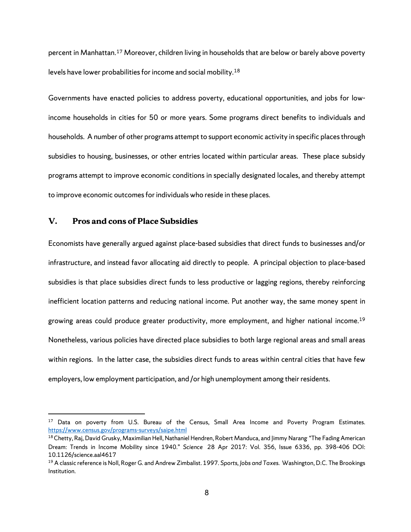percent in Manhattan.[17](#page-11-0) Moreover, children living in households that are below or barely above poverty levels have lower probabilities for income and social mobility.[18](#page-11-1) 

Governments have enacted policies to address poverty, educational opportunities, and jobs for lowincome households in cities for 50 or more years. Some programs direct benefits to individuals and households. A number of other programs attempt to support economic activity in specific places through subsidies to housing, businesses, or other entries located within particular areas. These place subsidy programs attempt to improve economic conditions in specially designated locales, and thereby attempt to improve economic outcomes for individuals who reside in these places.

### **V. Pros and cons of Place Subsidies**

 $\overline{a}$ 

Economists have generally argued against place-based subsidies that direct funds to businesses and/or infrastructure, and instead favor allocating aid directly to people. A principal objection to place-based subsidies is that place subsidies direct funds to less productive or lagging regions, thereby reinforcing inefficient location patterns and reducing national income. Put another way, the same money spent in growing areas could produce greater productivity, more employment, and higher national income.<sup>19</sup> Nonetheless, various policies have directed place subsidies to both large regional areas and small areas within regions. In the latter case, the subsidies direct funds to areas within central cities that have few employers, low employment participation, and /or high unemployment among their residents.

<span id="page-11-0"></span><sup>&</sup>lt;sup>17</sup> Data on poverty from U.S. Bureau of the Census, Small Area Income and Poverty Program Estimates. <https://www.census.gov/programs-surveys/saipe.html>

<span id="page-11-1"></span><sup>&</sup>lt;sup>18</sup> Chetty, Raj, David Grusky, Maximilian Hell, Nathaniel Hendren, Robert Manduca, and Jimmy Narang "The Fading American Dream: Trends in Income Mobility since 1940." *Science* 28 Apr 2017: Vol. 356, Issue 6336, pp. 398-406 DOI: 10.1126/science.aal4617

<span id="page-11-2"></span><sup>19</sup> A classic reference is Noll, Roger G. and Andrew Zimbalist. 1997. *Sports, Jobs and Taxes*. Washington, D.C. The Brookings Institution.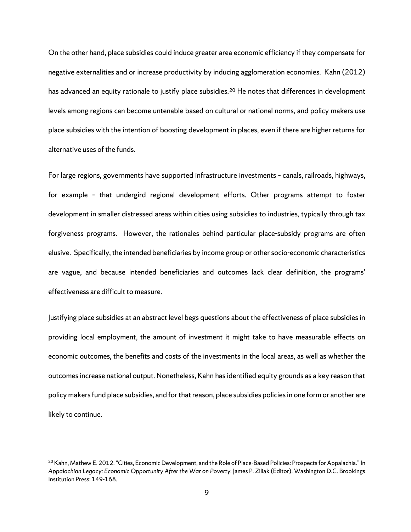On the other hand, place subsidies could induce greater area economic efficiency if they compensate for negative externalities and or increase productivity by inducing agglomeration economies. Kahn (2012) has advanced an equity rationale to justify place subsidies.<sup>[20](#page-12-0)</sup> He notes that differences in development levels among regions can become untenable based on cultural or national norms, and policy makers use place subsidies with the intention of boosting development in places, even if there are higher returns for alternative uses of the funds.

For large regions, governments have supported infrastructure investments – canals, railroads, highways, for example – that undergird regional development efforts. Other programs attempt to foster development in smaller distressed areas within cities using subsidies to industries, typically through tax forgiveness programs. However, the rationales behind particular place-subsidy programs are often elusive. Specifically, the intended beneficiaries by income group or other socio-economic characteristics are vague, and because intended beneficiaries and outcomes lack clear definition, the programs' effectiveness are difficult to measure.

Justifying place subsidies at an abstract level begs questions about the effectiveness of place subsidies in providing local employment, the amount of investment it might take to have measurable effects on economic outcomes, the benefits and costs of the investments in the local areas, as well as whether the outcomes increase national output. Nonetheless, Kahn has identified equity grounds as a key reason that policy makers fund place subsidies, and for that reason, place subsidies policies in one form or another are likely to continue.

<span id="page-12-0"></span><sup>&</sup>lt;sup>20</sup> Kahn, Mathew E. 2012. "Cities, Economic Development, and the Role of Place-Based Policies: Prospects for Appalachia." In *Appalachian Legacy: Economic Opportunity After the War on Poverty.* James P. Ziliak (Editor). Washington D.C. Brookings Institution Press: 149-168.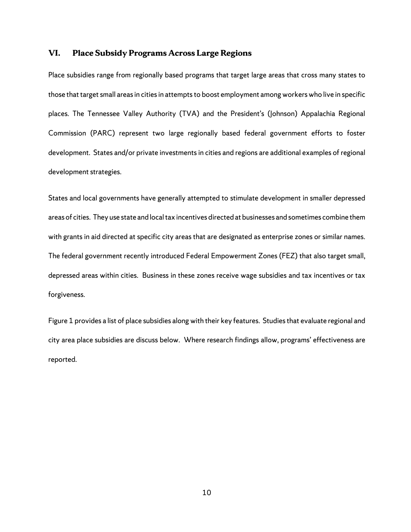### **VI. Place Subsidy Programs Across Large Regions**

Place subsidies range from regionally based programs that target large areas that cross many states to those that target small areas in cities in attempts to boost employment among workers who live in specific places. The Tennessee Valley Authority (TVA) and the President's (Johnson) Appalachia Regional Commission (PARC) represent two large regionally based federal government efforts to foster development. States and/or private investments in cities and regions are additional examples of regional development strategies.

States and local governments have generally attempted to stimulate development in smaller depressed areas of cities. They use state and local tax incentives directed at businesses and sometimes combine them with grants in aid directed at specific city areas that are designated as enterprise zones or similar names. The federal government recently introduced Federal Empowerment Zones (FEZ) that also target small, depressed areas within cities. Business in these zones receive wage subsidies and tax incentives or tax forgiveness.

Figure 1 provides a list of place subsidies along with their key features. Studies that evaluate regional and city area place subsidies are discuss below. Where research findings allow, programs' effectiveness are reported.

10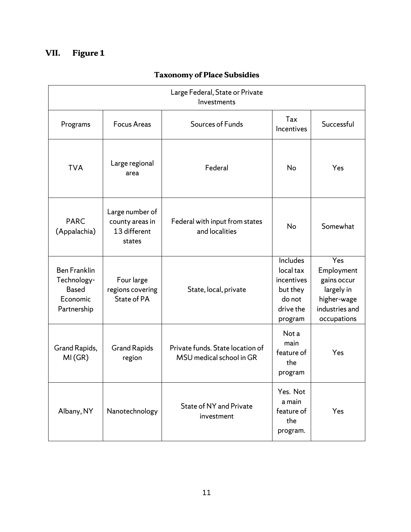# **VII. Figure 1**

| Large Federal, State or Private<br>Investments                                |                                                              |                                                              |                                                                                   |                                                                                                |
|-------------------------------------------------------------------------------|--------------------------------------------------------------|--------------------------------------------------------------|-----------------------------------------------------------------------------------|------------------------------------------------------------------------------------------------|
| Programs                                                                      | <b>Focus Areas</b>                                           | Sources of Funds                                             | Tax<br>Incentives                                                                 | Successful                                                                                     |
| <b>TVA</b>                                                                    | Large regional<br>area                                       | Federal                                                      | No                                                                                | Yes                                                                                            |
| <b>PARC</b><br>(Appalachia)                                                   | Large number of<br>county areas in<br>13 different<br>states | Federal with input from states<br>and localities             | No                                                                                | Somewhat                                                                                       |
| <b>Ben Franklin</b><br>Technology-<br><b>Based</b><br>Economic<br>Partnership | Four large<br>regions covering<br>State of PA                | State, local, private                                        | Includes<br>local tax<br>incentives<br>but they<br>do not<br>drive the<br>program | Yes<br>Employment<br>gains occur<br>largely in<br>higher-wage<br>industries and<br>occupations |
| Grand Rapids,<br>MI(GR)                                                       | <b>Grand Rapids</b><br>region                                | Private funds. State location of<br>MSU medical school in GR | Not a<br>main<br>feature of<br>the<br>program                                     | Yes                                                                                            |
| Albany, NY                                                                    | Nanotechnology                                               | State of NY and Private<br>investment                        | Yes. Not<br>a main<br>feature of<br>the<br>program.                               | Yes                                                                                            |

# **Taxonomy of Place Subsidies**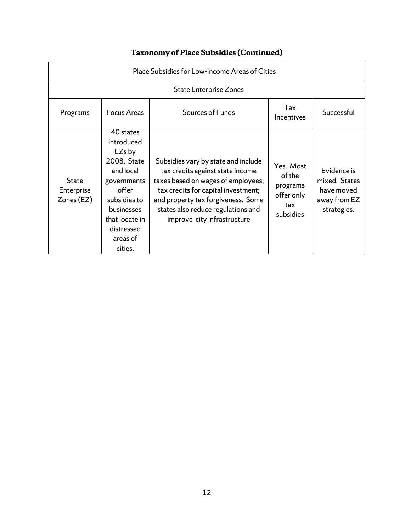| Place Subsidies for Low-Income Areas of Cities |                                                                                                                                                                                   |                                                                                                                                                                                                                                                                 |                                                                   |                                                                           |
|------------------------------------------------|-----------------------------------------------------------------------------------------------------------------------------------------------------------------------------------|-----------------------------------------------------------------------------------------------------------------------------------------------------------------------------------------------------------------------------------------------------------------|-------------------------------------------------------------------|---------------------------------------------------------------------------|
|                                                |                                                                                                                                                                                   | <b>State Enterprise Zones</b>                                                                                                                                                                                                                                   |                                                                   |                                                                           |
| Programs                                       | <b>Focus Areas</b>                                                                                                                                                                | Sources of Funds                                                                                                                                                                                                                                                | Tax<br>Incentives                                                 | Successful                                                                |
| <b>State</b><br>Enterprise<br>Zones (EZ)       | 40 states<br>introduced<br>EZs by<br>2008. State<br>and local<br>governments<br>offer<br>subsidies to<br><b>businesses</b><br>that locate in<br>distressed<br>areas of<br>cities. | Subsidies vary by state and include<br>tax credits against state income<br>taxes based on wages of employees;<br>tax credits for capital investment;<br>and property tax forgiveness. Some<br>states also reduce regulations and<br>improve city infrastructure | Yes. Most<br>of the<br>programs<br>offer only<br>tax<br>subsidies | Evidence is<br>mixed. States<br>have moved<br>away from EZ<br>strategies. |

# **Taxonomy of Place Subsidies (Continued)**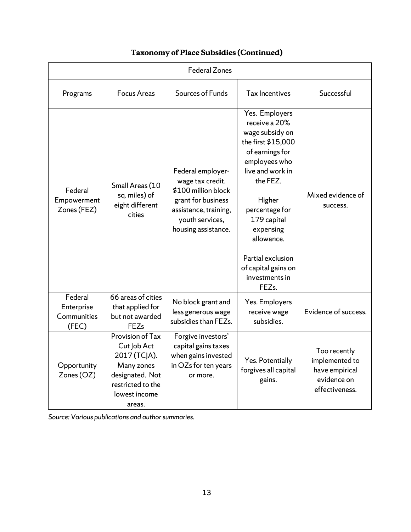| <b>Federal Zones</b>                          |                                                                                                                                  |                                                                                                                                                       |                                                                                                                                                                                                                                                                                                       |                                                                                   |
|-----------------------------------------------|----------------------------------------------------------------------------------------------------------------------------------|-------------------------------------------------------------------------------------------------------------------------------------------------------|-------------------------------------------------------------------------------------------------------------------------------------------------------------------------------------------------------------------------------------------------------------------------------------------------------|-----------------------------------------------------------------------------------|
| Programs                                      | <b>Focus Areas</b>                                                                                                               | Sources of Funds                                                                                                                                      | Tax Incentives                                                                                                                                                                                                                                                                                        | Successful                                                                        |
| Federal<br>Empowerment<br>Zones (FEZ)         | Small Areas (10<br>sq. miles) of<br>eight different<br>cities                                                                    | Federal employer-<br>wage tax credit.<br>\$100 million block<br>grant for business<br>assistance, training,<br>youth services,<br>housing assistance. | Yes. Employers<br>receive a 20%<br>wage subsidy on<br>the first \$15,000<br>of earnings for<br>employees who<br>live and work in<br>the FEZ.<br>Higher<br>percentage for<br>179 capital<br>expensing<br>allowance.<br>Partial exclusion<br>of capital gains on<br>investments in<br>FEZ <sub>s.</sub> | Mixed evidence of<br>success.                                                     |
| Federal<br>Enterprise<br>Communities<br>(FEC) | 66 areas of cities<br>that applied for<br>but not awarded<br><b>FEZs</b>                                                         | No block grant and<br>less generous wage<br>subsidies than FEZs.                                                                                      | Yes. Employers<br>receive wage<br>subsidies.                                                                                                                                                                                                                                                          | Evidence of success.                                                              |
| Opportunity<br>Zones (OZ)                     | Provision of Tax<br>Cut Job Act<br>2017 (TCJA).<br>Many zones<br>designated. Not<br>restricted to the<br>lowest income<br>areas. | Forgive investors'<br>capital gains taxes<br>when gains invested<br>in OZs for ten years<br>or more.                                                  | Yes. Potentially<br>forgives all capital<br>gains.                                                                                                                                                                                                                                                    | Too recently<br>implemented to<br>have empirical<br>evidence on<br>effectiveness. |

# **Taxonomy of Place Subsidies (Continued)**

*Source: Various publications and author summaries.*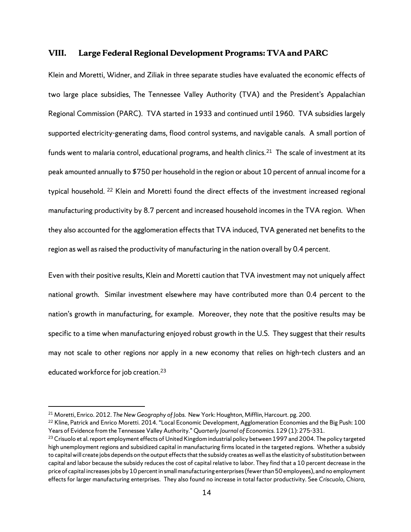### **VIII. Large Federal Regional Development Programs: TVA and PARC**

Klein and Moretti, Widner, and Ziliak in three separate studies have evaluated the economic effects of two large place subsidies, The Tennessee Valley Authority (TVA) and the President's Appalachian Regional Commission (PARC). TVA started in 1933 and continued until 1960. TVA subsidies largely supported electricity-generating dams, flood control systems, and navigable canals. A small portion of funds went to malaria control, educational programs, and health clinics.<sup>21</sup> The scale of investment at its peak amounted annually to \$750 per household in the region or about 10 percent of annual income for a typical household. [22](#page-17-1) Klein and Moretti found the direct effects of the investment increased regional manufacturing productivity by 8.7 percent and increased household incomes in the TVA region. When they also accounted for the agglomeration effects that TVA induced, TVA generated net benefits to the region as well as raised the productivity of manufacturing in the nation overall by 0.4 percent.

Even with their positive results, Klein and Moretti caution that TVA investment may not uniquely affect national growth. Similar investment elsewhere may have contributed more than 0.4 percent to the nation's growth in manufacturing, for example. Moreover, they note that the positive results may be specific to a time when manufacturing enjoyed robust growth in the U.S. They suggest that their results may not scale to other regions nor apply in a new economy that relies on high-tech clusters and an educated workforce for job creation.[23](#page-17-2)

<span id="page-17-0"></span><sup>21</sup> Moretti, Enrico. 2012. *The New Geography of Jobs.* New York: Houghton, Mifflin, Harcourt. pg. 200.

<span id="page-17-1"></span><sup>&</sup>lt;sup>22</sup> Kline, Patrick and Enrico Moretti. 2014. "Local Economic Development, Agglomeration Economies and the Big Push: 100 Years of Evidence from the Tennessee Valley Authority." *Quarterly Journal of Economics.* 129 (1): 275-331.

<span id="page-17-2"></span><sup>&</sup>lt;sup>23</sup> Crisuolo et al. report employment effects of United Kingdom industrial policy between 1997 and 2004. The policy targeted high unemployment regions and subsidized capital in manufacturing firms located in the targeted regions. Whether a subsidy to capital will create jobs depends on the output effects that the subsidy creates as well as the elasticity of substitution between capital and labor because the subsidy reduces the cost of capital relative to labor. They find that a 10 percent decrease in the price of capital increases jobs by 10 percent in small manufacturing enterprises (fewer than 50 employees), and no employment effects for larger manufacturing enterprises. They also found no increase in total factor productivity. See *Criscuolo, Chiara,*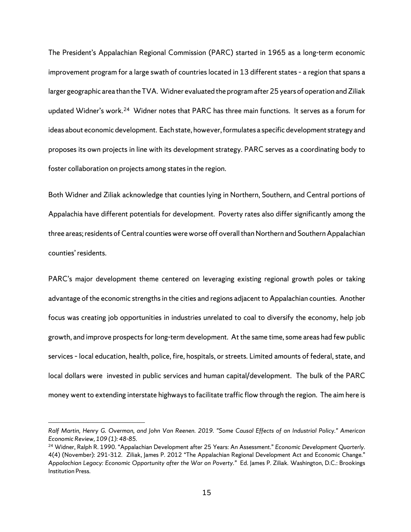The President's Appalachian Regional Commission (PARC) started in 1965 as a long-term economic improvement program for a large swath of countries located in 13 different states – a region that spans a larger geographic area than the TVA. Widner evaluated the program after 25 years of operation and Ziliak updated Widner's work.[24](#page-18-0) Widner notes that PARC has three main functions. It serves as a forum for ideas about economic development. Each state, however, formulates a specific development strategy and proposes its own projects in line with its development strategy. PARC serves as a coordinating body to foster collaboration on projects among states in the region.

Both Widner and Ziliak acknowledge that counties lying in Northern, Southern, and Central portions of Appalachia have different potentials for development. Poverty rates also differ significantly among the three areas; residents of Central counties were worse off overall than Northern and Southern Appalachian counties' residents.

PARC's major development theme centered on leveraging existing regional growth poles or taking advantage of the economic strengths in the cities and regions adjacent to Appalachian counties. Another focus was creating job opportunities in industries unrelated to coal to diversify the economy, help job growth, and improve prospects for long-term development. At the same time, some areas had few public services – local education, health, police, fire, hospitals, or streets. Limited amounts of federal, state, and local dollars were invested in public services and human capital/development. The bulk of the PARC money went to extending interstate highways to facilitate traffic flow through the region. The aim here is

*Ralf Martin, Henry G. Overman, and John Van Reenen. 2019. "Some Causal Effects of an Industrial Policy." American Economic Review, 109 (1): 48-85.* 

<span id="page-18-0"></span><sup>24</sup> Widner, Ralph R. 1990. "Appalachian Development after 25 Years: An Assessment." *Economic Development Quarterly.*  4(4) (November): 291-312*.* Ziliak, James P. 2012 "The Appalachian Regional Development Act and Economic Change." *Appalachian Legacy: Economic Opportunity after the War on Poverty."* Ed. James P. Ziliak*.* Washington, D.C.: Brookings Institution Press.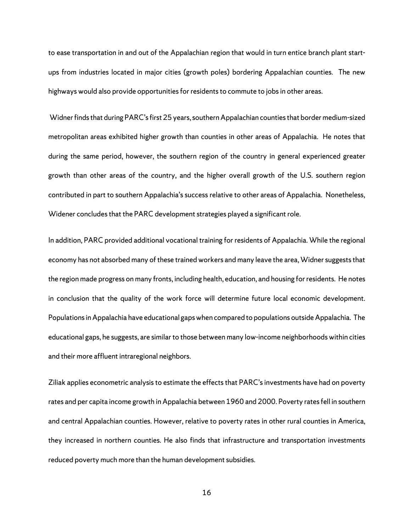to ease transportation in and out of the Appalachian region that would in turn entice branch plant startups from industries located in major cities (growth poles) bordering Appalachian counties. The new highways would also provide opportunities for residents to commute to jobs in other areas.

 Widner finds that during PARC's first 25 years, southern Appalachian counties that border medium-sized metropolitan areas exhibited higher growth than counties in other areas of Appalachia. He notes that during the same period, however, the southern region of the country in general experienced greater growth than other areas of the country, and the higher overall growth of the U.S. southern region contributed in part to southern Appalachia's success relative to other areas of Appalachia. Nonetheless, Widener concludes that the PARC development strategies played a significant role.

In addition, PARC provided additional vocational training for residents of Appalachia. While the regional economy has not absorbed many of these trained workers and many leave the area, Widner suggests that the region made progress on many fronts, including health, education, and housing for residents. He notes in conclusion that the quality of the work force will determine future local economic development. Populations in Appalachia have educational gaps when compared to populations outside Appalachia. The educational gaps, he suggests, are similar to those between many low-income neighborhoods within cities and their more affluent intraregional neighbors.

Ziliak applies econometric analysis to estimate the effects that PARC's investments have had on poverty rates and per capita income growth in Appalachia between 1960 and 2000. Poverty rates fell in southern and central Appalachian counties. However, relative to poverty rates in other rural counties in America, they increased in northern counties. He also finds that infrastructure and transportation investments reduced poverty much more than the human development subsidies.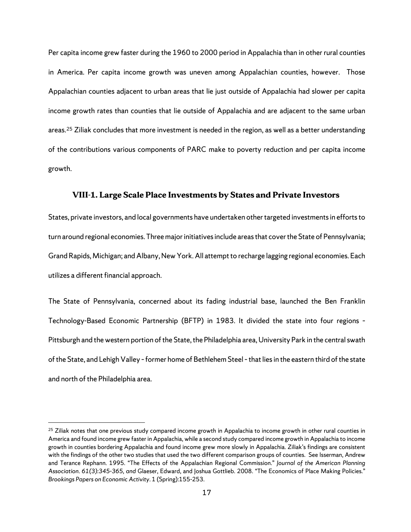Per capita income grew faster during the 1960 to 2000 period in Appalachia than in other rural counties in America. Per capita income growth was uneven among Appalachian counties, however. Those Appalachian counties adjacent to urban areas that lie just outside of Appalachia had slower per capita income growth rates than counties that lie outside of Appalachia and are adjacent to the same urban areas.<sup>[25](#page-20-0)</sup> Ziliak concludes that more investment is needed in the region, as well as a better understanding of the contributions various components of PARC make to poverty reduction and per capita income growth.

#### **VIII-1. Large Scale Place Investments by States and Private Investors**

States, private investors, and local governments have undertaken other targeted investments in efforts to turn around regional economies. Three major initiatives include areas that cover the State of Pennsylvania; Grand Rapids, Michigan; and Albany, New York. All attempt to recharge lagging regional economies. Each utilizes a different financial approach.

The State of Pennsylvania, concerned about its fading industrial base, launched the Ben Franklin Technology-Based Economic Partnership (BFTP) in 1983. It divided the state into four regions – Pittsburgh and the western portion of the State, the Philadelphia area, University Park in the central swath of the State, and Lehigh Valley – former home of Bethlehem Steel – that lies in the eastern third of the state and north of the Philadelphia area.

<span id="page-20-0"></span> $25$  Ziliak notes that one previous study compared income growth in Appalachia to income growth in other rural counties in America and found income grew faster in Appalachia, while a second study compared income growth in Appalachia to income growth in counties bordering Appalachia and found income grew more slowly in Appalachia. Ziliak's findings are consistent with the findings of the other two studies that used the two different comparison groups of counties. See Isserman, Andrew and Terance Rephann. 1995. "The Effects of the Appalachian Regional Commission." *Journal of the American Planning Association*. *61(3):345-365, and* Glaeser, Edward, and Joshua Gottlieb. 2008. "The Economics of Place Making Policies." *Brookings Papers on Economic Activity*. 1 (Spring):155-253.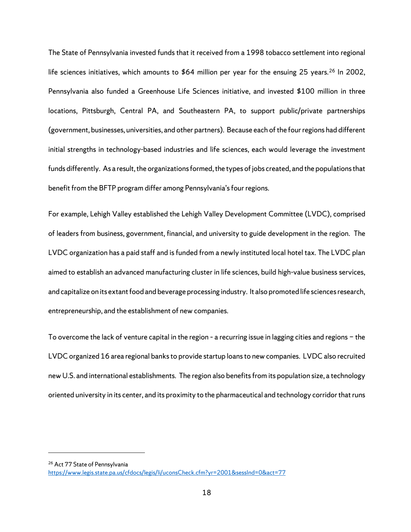The State of Pennsylvania invested funds that it received from a 1998 tobacco settlement into regional life sciences initiatives, which amounts to \$64 million per year for the ensuing 25 years.<sup>[26](#page-21-0)</sup> In 2002, Pennsylvania also funded a Greenhouse Life Sciences initiative, and invested \$100 million in three locations, Pittsburgh, Central PA, and Southeastern PA, to support public/private partnerships (government, businesses, universities, and other partners). Because each of the fourregions had different initial strengths in technology-based industries and life sciences, each would leverage the investment funds differently. As a result, the organizations formed, the types of jobs created, and the populations that benefit from the BFTP program differ among Pennsylvania's four regions.

For example, Lehigh Valley established the Lehigh Valley Development Committee (LVDC), comprised of leaders from business, government, financial, and university to guide development in the region. The LVDC organization has a paid staff and is funded from a newly instituted local hotel tax. The LVDC plan aimed to establish an advanced manufacturing cluster in life sciences, build high-value business services, and capitalize on its extant food and beverage processing industry. It also promoted life sciences research, entrepreneurship, and the establishment of new companies.

To overcome the lack of venture capital in the region – a recurring issue in lagging cities and regions − the LVDC organized 16 area regional banks to provide startup loans to new companies. LVDC also recruited new U.S. and international establishments. The region also benefits from its population size, a technology oriented university in its center, and its proximity to the pharmaceutical and technology corridor that runs

<span id="page-21-0"></span><sup>26</sup> Act 77 State of Pennsylvania

<https://www.legis.state.pa.us/cfdocs/legis/li/uconsCheck.cfm?yr=2001&sessInd=0&act=77>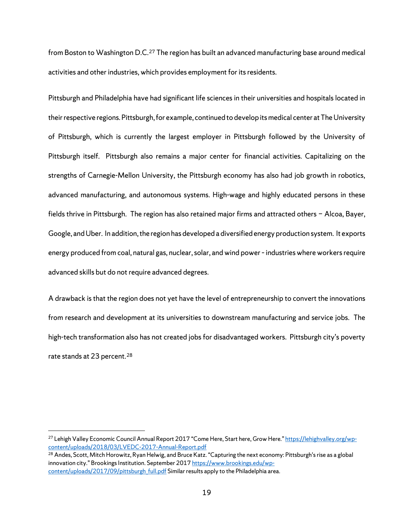from Boston to Washington D.C.[27](#page-22-0) The region has built an advanced manufacturing base around medical activities and other industries, which provides employment for its residents.

Pittsburgh and Philadelphia have had significant life sciences in their universities and hospitals located in their respective regions. Pittsburgh, for example, continued to develop its medical center at The University of Pittsburgh, which is currently the largest employer in Pittsburgh followed by the University of Pittsburgh itself. Pittsburgh also remains a major center for financial activities. Capitalizing on the strengths of Carnegie-Mellon University, the Pittsburgh economy has also had job growth in robotics, advanced manufacturing, and autonomous systems. High-wage and highly educated persons in these fields thrive in Pittsburgh. The region has also retained major firms and attracted others − Alcoa, Bayer, Google, and Uber. In addition, the region has developed a diversified energy production system. It exports energy produced from coal, natural gas, nuclear, solar, and wind power – industries where workers require advanced skills but do not require advanced degrees.

A drawback is that the region does not yet have the level of entrepreneurship to convert the innovations from research and development at its universities to downstream manufacturing and service jobs. The high-tech transformation also has not created jobs for disadvantaged workers. Pittsburgh city's poverty rate stands at 23 percent.<sup>[28](#page-22-1)</sup>

<span id="page-22-0"></span><sup>&</sup>lt;sup>27</sup> Lehigh Valley Economic Council Annual Report 2017 "Come Here, Start here, Grow Here." https://lehighvalley.org/wp-<br>content/uploads/2018/03/LVEDC-2017-Annual-Report.pdf

<span id="page-22-1"></span><sup>&</sup>lt;sup>28</sup> Andes, Scott, Mitch Horowitz, Ryan Helwig, and Bruce Katz. "Capturing the next economy: Pittsburgh's rise as a global innovation city." Brookings Institution. September 201[7 https://www.brookings.edu/wp](https://www.brookings.edu/wp-content/uploads/2017/09/pittsburgh_full.pdf)[content/uploads/2017/09/pittsburgh\\_full.pdf](https://www.brookings.edu/wp-content/uploads/2017/09/pittsburgh_full.pdf) Similar results apply to the Philadelphia area.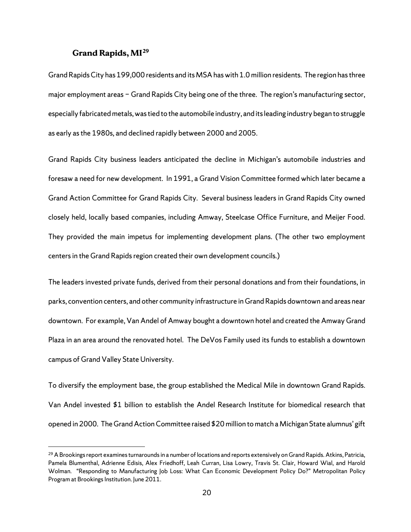#### **Grand Rapids, MI[29](#page-23-0)**

 $\overline{a}$ 

Grand Rapids City has 199,000 residents and its MSA has with 1.0 million residents. The region has three major employment areas − Grand Rapids City being one of the three. The region's manufacturing sector, especially fabricated metals, was tied to the automobile industry, and its leading industry began to struggle as early as the 1980s, and declined rapidly between 2000 and 2005.

Grand Rapids City business leaders anticipated the decline in Michigan's automobile industries and foresaw a need for new development. In 1991, a Grand Vision Committee formed which later became a Grand Action Committee for Grand Rapids City. Several business leaders in Grand Rapids City owned closely held, locally based companies, including Amway, Steelcase Office Furniture, and Meijer Food. They provided the main impetus for implementing development plans. (The other two employment centers in the Grand Rapids region created their own development councils.)

The leaders invested private funds, derived from their personal donations and from their foundations, in parks, convention centers, and other community infrastructure in Grand Rapids downtown and areas near downtown. For example, Van Andel of Amway bought a downtown hotel and created the Amway Grand Plaza in an area around the renovated hotel. The DeVos Family used its funds to establish a downtown campus of Grand Valley State University.

To diversify the employment base, the group established the Medical Mile in downtown Grand Rapids. Van Andel invested \$1 billion to establish the Andel Research Institute for biomedical research that opened in 2000. The Grand Action Committee raised \$20 million to match a Michigan State alumnus' gift

<span id="page-23-0"></span><sup>&</sup>lt;sup>29</sup> A Brookings report examines turnarounds in a number of locations and reports extensively on Grand Rapids. Atkins, Patricia, Pamela Blumenthal, Adrienne Edisis, Alex Friedhoff, Leah Curran, Lisa Lowry, Travis St. Clair, Howard Wial, and Harold Wolman. "Responding to Manufacturing Job Loss: What Can Economic Development Policy Do?" Metropolitan Policy Program at Brookings Institution. June 2011.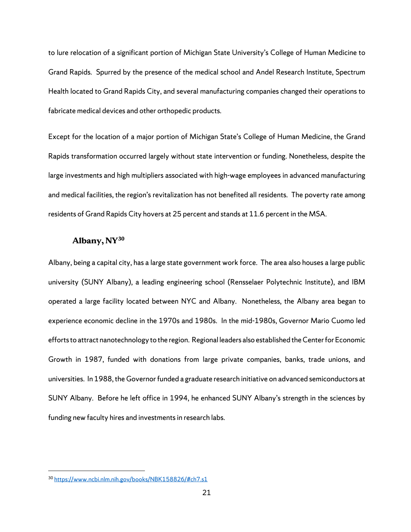to lure relocation of a significant portion of Michigan State University's College of Human Medicine to Grand Rapids. Spurred by the presence of the medical school and Andel Research Institute, Spectrum Health located to Grand Rapids City, and several manufacturing companies changed their operations to fabricate medical devices and other orthopedic products.

Except for the location of a major portion of Michigan State's College of Human Medicine, the Grand Rapids transformation occurred largely without state intervention or funding. Nonetheless, despite the large investments and high multipliers associated with high-wage employees in advanced manufacturing and medical facilities, the region's revitalization has not benefited all residents. The poverty rate among residents of Grand Rapids City hovers at 25 percent and stands at 11.6 percent in the MSA.

#### **Albany, NY[30](#page-24-0)**

Albany, being a capital city, has a large state government work force. The area also houses a large public university (SUNY Albany), a leading engineering school (Rensselaer Polytechnic Institute), and IBM operated a large facility located between NYC and Albany. Nonetheless, the Albany area began to experience economic decline in the 1970s and 1980s. In the mid-1980s, Governor Mario Cuomo led efforts to attract nanotechnology to the region. Regional leaders also established the Center for Economic Growth in 1987, funded with donations from large private companies, banks, trade unions, and universities. In 1988, the Governor funded a graduate research initiative on advanced semiconductors at SUNY Albany. Before he left office in 1994, he enhanced SUNY Albany's strength in the sciences by funding new faculty hires and investments in research labs.

<span id="page-24-0"></span><sup>30</sup> [https://www.ncbi.nlm.nih.gov/books/NBK158826/#ch7.s1](https://www.ncbi.nlm.nih.gov/books/NBK158826/%23ch7.s1)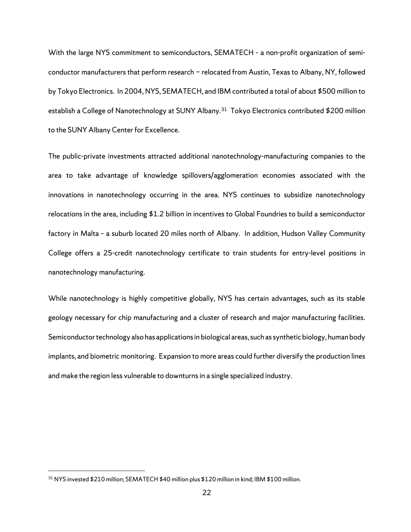With the large NYS commitment to semiconductors, SEMATECH - a non-profit organization of semiconductor manufacturers that perform research − relocated from Austin, Texas to Albany, NY, followed by Tokyo Electronics. In 2004, NYS, SEMATECH, and IBM contributed a total of about \$500 million to establish a College of Nanotechnology at SUNY Albany.<sup>31</sup> Tokyo Electronics contributed \$200 million to the SUNY Albany Center for Excellence.

The public-private investments attracted additional nanotechnology-manufacturing companies to the area to take advantage of knowledge spillovers/agglomeration economies associated with the innovations in nanotechnology occurring in the area. NYS continues to subsidize nanotechnology relocations in the area, including \$1.2 billion in incentives to Global Foundries to build a semiconductor factory in Malta – a suburb located 20 miles north of Albany. In addition, Hudson Valley Community College offers a 25-credit nanotechnology certificate to train students for entry-level positions in nanotechnology manufacturing.

While nanotechnology is highly competitive globally, NYS has certain advantages, such as its stable geology necessary for chip manufacturing and a cluster of research and major manufacturing facilities. Semiconductor technology also has applications in biological areas, such as synthetic biology, human body implants, and biometric monitoring. Expansion to more areas could further diversify the production lines and make the region less vulnerable to downturns in a single specialized industry.

<span id="page-25-0"></span><sup>31</sup> NYS invested \$210 million; SEMATECH \$40 million plus \$120 million in kind; IBM \$100 million.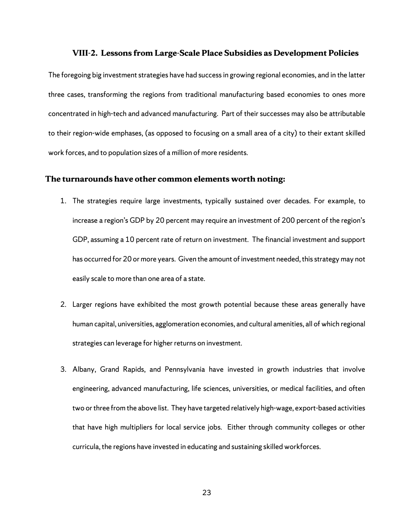#### **VIII-2. Lessons from Large-Scale Place Subsidies as Development Policies**

The foregoing big investment strategies have had success in growing regional economies, and in the latter three cases, transforming the regions from traditional manufacturing based economies to ones more concentrated in high-tech and advanced manufacturing. Part of their successes may also be attributable to their region-wide emphases, (as opposed to focusing on a small area of a city) to their extant skilled work forces, and to population sizes of a million of more residents.

#### **The turnarounds have other common elements worth noting:**

- 1. The strategies require large investments, typically sustained over decades. For example, to increase a region's GDP by 20 percent may require an investment of 200 percent of the region's GDP, assuming a 10 percent rate of return on investment. The financial investment and support has occurred for 20 or more years. Given the amount of investment needed, this strategy may not easily scale to more than one area of a state.
- 2. Larger regions have exhibited the most growth potential because these areas generally have human capital, universities, agglomeration economies, and cultural amenities, all of which regional strategies can leverage for higher returns on investment.
- 3. Albany, Grand Rapids, and Pennsylvania have invested in growth industries that involve engineering, advanced manufacturing, life sciences, universities, or medical facilities, and often two or three from the above list. They have targeted relatively high-wage, export-based activities that have high multipliers for local service jobs. Either through community colleges or other curricula, the regions have invested in educating and sustaining skilled workforces.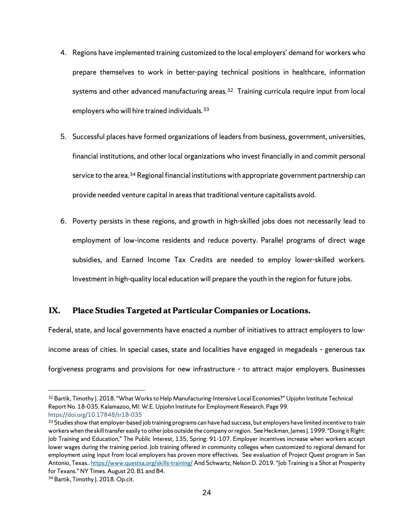- systems and other advanced manufacturing areas.<sup>[32](#page-27-0)</sup> Training curricula require input from local 4. Regions have implemented training customized to the local employers' demand for workers who prepare themselves to work in better-paying technical positions in healthcare, information employers who will hire trained individuals.<sup>[33](#page-27-1)</sup>
- 5. Successful places have formed organizations of leaders from business, government, universities, financial institutions, and other local organizations who invest financially in and commit personal service to the area.<sup>[34](#page-27-2)</sup> Regional financial institutions with appropriate government partnership can provide needed venture capital in areas that traditional venture capitalists avoid.
- 6. Poverty persists in these regions, and growth in high-skilled jobs does not necessarily lead to employment of low-income residents and reduce poverty. Parallel programs of direct wage subsidies, and Earned Income Tax Credits are needed to employ lower-skilled workers. Investment in high-quality local education will prepare the youth in the region for future jobs.

## **IX. Place Studies Targeted at Particular Companies or Locations.**

Federal, state, and local governments have enacted a number of initiatives to attract employers to lowincome areas of cities. In special cases, state and localities have engaged in megadeals – generous tax forgiveness programs and provisions for new infrastructure – to attract major employers. Businesses

<span id="page-27-0"></span><sup>32</sup> Bartik, Timothy J. 2018. "What Works to Help Manufacturing-Intensive Local Economies?" Upjohn Institute Technical Report No. 18-035. Kalamazoo, MI: W.E. Upjohn Institute for Employment Research. Page 99. https://doi.org/10.17848/tr18-035

<span id="page-27-1"></span><sup>&</sup>lt;sup>33</sup> Studies show that employer-based job training programs can have had success, but employers have limited incentive to train workers when the skill transfer easily to other jobs outside the company or region. See Heckman, James J. 1999. "Doing it Right: Job Training and Education," The Public Interest, 135, Spring: 91-107. Employer incentives increase when workers accept lower wages during the training period. Job training offered in community colleges when customized to regional demand for employment using input from local employers has proven more effectives. See evaluation of Project Quest program in San Antonio, Texas.[. https://www.questsa.org/skills-training/](https://www.questsa.org/skills-training/)And Schwartz, Nelson D. 2019. "Job Training is a Shot at Prosperity for Texans." NY Times. August 20. B1 and B4.

<span id="page-27-2"></span><sup>34</sup> Bartik, Timothy J. 2018. Op.cit.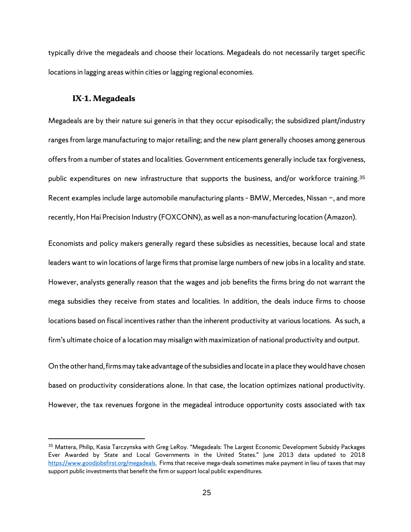typically drive the megadeals and choose their locations. Megadeals do not necessarily target specific locations in lagging areas within cities or lagging regional economies.

#### **IX-1. Megadeals**

 $\overline{a}$ 

Megadeals are by their nature sui generis in that they occur episodically; the subsidized plant/industry ranges from large manufacturing to major retailing; and the new plant generally chooses among generous offers from a number of states and localities. Government enticements generally include tax forgiveness, public expenditures on new infrastructure that supports the business, and/or workforce training. [35](#page-28-0) Recent examples include large automobile manufacturing plants – BMW, Mercedes, Nissan −, and more recently, Hon Hai Precision Industry (FOXCONN), as well as a non-manufacturing location (Amazon).

Economists and policy makers generally regard these subsidies as necessities, because local and state leaders want to win locations of large firms that promise large numbers of new jobs in a locality and state. However, analysts generally reason that the wages and job benefits the firms bring do not warrant the mega subsidies they receive from states and localities. In addition, the deals induce firms to choose locations based on fiscal incentives rather than the inherent productivity at various locations. As such, a firm's ultimate choice of a location may misalign with maximization of national productivity and output.

On the other hand, firms may take advantage of the subsidies and locate in a place they would have chosen based on productivity considerations alone. In that case, the location optimizes national productivity. However, the tax revenues forgone in the megadeal introduce opportunity costs associated with tax

<span id="page-28-0"></span><sup>35</sup> Mattera, Philip, Kasia Tarczynska with Greg LeRoy. "Megadeals: The Largest Economic Development Subsidy Packages Ever Awarded by State and Local Governments in the United States." June 2013 data updated to 2018 [https://www.goodjobsfirst.org/megadeals.](https://www.goodjobsfirst.org/megadeals) Firms that receive mega-deals sometimes make payment in lieu of taxes that may support public investments that benefit the firm or support local public expenditures.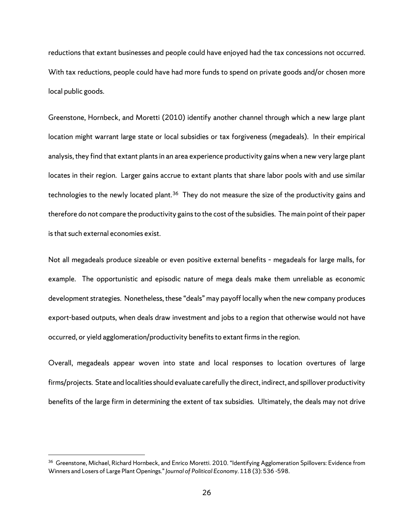reductions that extant businesses and people could have enjoyed had the tax concessions not occurred. With tax reductions, people could have had more funds to spend on private goods and/or chosen more local public goods.

Greenstone, Hornbeck, and Moretti (2010) identify another channel through which a new large plant location might warrant large state or local subsidies or tax forgiveness (megadeals). In their empirical analysis, they find that extant plants in an area experience productivity gains when a new very large plant locates in their region. Larger gains accrue to extant plants that share labor pools with and use similar technologies to the newly located plant.<sup>[36](#page-29-0)</sup> They do not measure the size of the productivity gains and therefore do not compare the productivity gains to the cost of the subsidies. The main point of their paper is that such external economies exist.

Not all megadeals produce sizeable or even positive external benefits – megadeals for large malls, for example. The opportunistic and episodic nature of mega deals make them unreliable as economic development strategies. Nonetheless, these "deals" may payoff locally when the new company produces export-based outputs, when deals draw investment and jobs to a region that otherwise would not have occurred, or yield agglomeration/productivity benefits to extant firms in the region.

Overall, megadeals appear woven into state and local responses to location overtures of large firms/projects. State and localities should evaluate carefully the direct, indirect, and spillover productivity benefits of the large firm in determining the extent of tax subsidies. Ultimately, the deals may not drive

<span id="page-29-0"></span><sup>&</sup>lt;sup>36</sup> Greenstone, Michael, Richard Hornbeck, and Enrico Moretti. 2010. "Identifying Agglomeration Spillovers: Evidence from Winners and Losers of Large Plant Openings." *Journal of Political Economy.* 118 (3): 536 -598.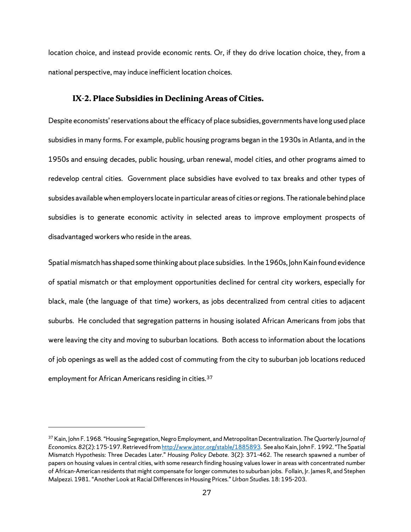location choice, and instead provide economic rents. Or, if they do drive location choice, they, from a national perspective, may induce inefficient location choices.

#### **IX-2. Place Subsidies in Declining Areas of Cities.**

Despite economists' reservations about the efficacy of place subsidies, governments have long used place subsidies in many forms. For example, public housing programs began in the 1930s in Atlanta, and in the 1950s and ensuing decades, public housing, urban renewal, model cities, and other programs aimed to redevelop central cities. Government place subsidies have evolved to tax breaks and other types of subsides available when employers locate in particular areas of cities or regions. The rationale behind place subsidies is to generate economic activity in selected areas to improve employment prospects of disadvantaged workers who reside in the areas.

Spatial mismatch has shaped some thinking about place subsidies. In the 1960s, John Kain found evidence of spatial mismatch or that employment opportunities declined for central city workers, especially for black, male (the language of that time) workers, as jobs decentralized from central cities to adjacent suburbs. He concluded that segregation patterns in housing isolated African Americans from jobs that were leaving the city and moving to suburban locations. Both access to information about the locations of job openings as well as the added cost of commuting from the city to suburban job locations reduced employment for African Americans residing in cities.<sup>[37](#page-30-0)</sup>

<span id="page-30-0"></span><sup>37</sup> Kain, John F. 1968. "Housing Segregation, Negro Employment, and Metropolitan Decentralization. *The Quarterly Journal of Economics.82*(2): 175-197. Retrieved fro[m http://www.jstor.org/stable/1885893.](http://www.jstor.org/stable/1885893) See also Kain, John F. 1992. "The Spatial Mismatch Hypothesis: Three Decades Later." *Housing Policy Debate.* 3(2): 371-462. The research spawned a number of papers on housing values in central cities, with some research finding housing values lower in areas with concentrated number of African-American residents that might compensate for longer commutes to suburban jobs. Follain, Jr. James R, and Stephen Malpezzi. 1981. "Another Look at Racial Differences in Housing Prices." *Urban Studies.* 18: 195-203.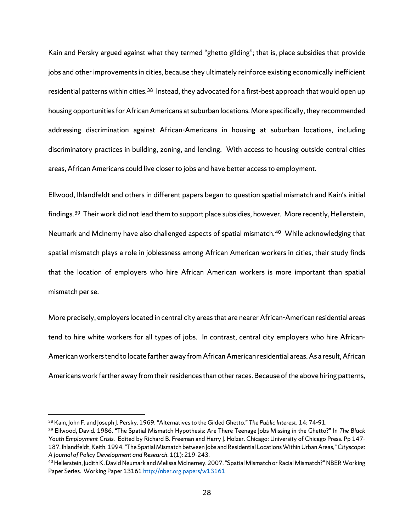Kain and Persky argued against what they termed "ghetto gilding"; that is, place subsidies that provide jobs and other improvements in cities, because they ultimately reinforce existing economically inefficient residential patterns within cities.<sup>[38](#page-31-0)</sup> Instead, they advocated for a first-best approach that would open up housing opportunities for African Americans at suburban locations. More specifically, they recommended addressing discrimination against African-Americans in housing at suburban locations, including discriminatory practices in building, zoning, and lending. With access to housing outside central cities areas, African Americans could live closer to jobs and have better access to employment.

Ellwood, Ihlandfeldt and others in different papers began to question spatial mismatch and Kain's initial findings.<sup>39</sup> Their work did not lead them to support place subsidies, however. More recently, Hellerstein, Neumark and McInerny have also challenged aspects of spatial mismatch.[40](#page-31-2) While acknowledging that spatial mismatch plays a role in joblessness among African American workers in cities, their study finds that the location of employers who hire African American workers is more important than spatial mismatch per se.

More precisely, employers located in central city areas that are nearer African-American residential areas tend to hire white workers for all types of jobs. In contrast, central city employers who hire African-American workers tend to locate farther away from African American residential areas.As a result, African Americans work farther away fromtheir residences than other races. Because of the above hiring patterns,

<span id="page-31-0"></span><sup>38</sup> Kain, John F. and Joseph J. Persky. 1969. "Alternatives to the Gilded Ghetto." *The Public Interest.* 14: 74-91.

<span id="page-31-1"></span><sup>39</sup> Ellwood, David. 1986. "The Spatial Mismatch Hypothesis: Are There Teenage Jobs Missing in the Ghetto?" In *The Black Youth Employment Crisis.* Edited by Richard B. Freeman and Harry J. Holzer. Chicago: University of Chicago Press. Pp 147- 187. Ihlandfeldt, Keith. 1994. "The Spatial Mismatch between Jobs and Residential Locations Within Urban Areas," *Cityscape: A Journal of Policy Development and Research*. 1(1): 219-243.

<span id="page-31-2"></span><sup>40</sup>Hellerstein, Judith K. David Neumark and Melissa McInerney. 2007. "Spatial Mismatch or Racial Mismatch?" NBER Working Paper Series. Working Paper 1316[1 http://nber.org.papers/w13161](http://nber.org.papers/w13161)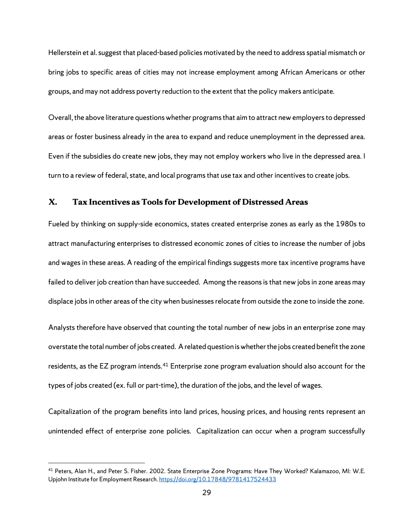Hellerstein et al. suggest that placed-based policies motivated by the need to address spatial mismatch or bring jobs to specific areas of cities may not increase employment among African Americans or other groups, and may not address poverty reduction to the extent that the policy makers anticipate.

Overall, the above literature questions whether programs that aim to attract new employers to depressed areas or foster business already in the area to expand and reduce unemployment in the depressed area. Even if the subsidies do create new jobs, they may not employ workers who live in the depressed area. I turn to a review of federal, state, and local programs that use tax and other incentives to create jobs.

### **X. Tax Incentives as Tools for Development of Distressed Areas**

Fueled by thinking on supply-side economics, states created enterprise zones as early as the 1980s to attract manufacturing enterprises to distressed economic zones of cities to increase the number of jobs and wages in these areas. A reading of the empirical findings suggests more tax incentive programs have failed to deliver job creation than have succeeded. Among the reasons is that new jobs in zone areas may displace jobs in other areas of the city when businesses relocate from outside the zone to inside the zone.

Analysts therefore have observed that counting the total number of new jobs in an enterprise zone may overstate the total number of jobs created. A related question is whether the jobs created benefit the zone residents, as the EZ program intends.[41](#page-32-0) Enterprise zone program evaluation should also account for the types of jobs created (ex. full or part-time), the duration of the jobs, and the level of wages.

Capitalization of the program benefits into land prices, housing prices, and housing rents represent an unintended effect of enterprise zone policies. Capitalization can occur when a program successfully

<span id="page-32-0"></span><sup>41</sup> Peters, Alan H., and Peter S. Fisher. 2002. State Enterprise Zone Programs: Have They Worked? Kalamazoo, MI: W.E. Upjohn Institute for Employment Research[. https://doi.org/10.17848/9781417524433](https://doi.org/10.17848/9781417524433)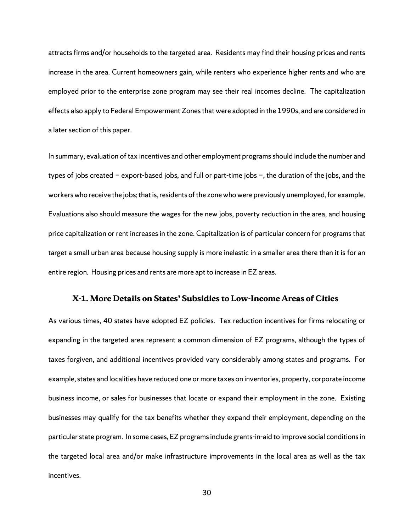attracts firms and/or households to the targeted area. Residents may find their housing prices and rents increase in the area. Current homeowners gain, while renters who experience higher rents and who are employed prior to the enterprise zone program may see their real incomes decline. The capitalization effects also apply to Federal Empowerment Zones that were adopted in the 1990s, and are considered in a later section of this paper.

In summary, evaluation of tax incentives and other employment programs should include the number and types of jobs created − export-based jobs, and full or part-time jobs −, the duration of the jobs, and the workers who receive the jobs; that is, residents of the zone who were previously unemployed, for example. Evaluations also should measure the wages for the new jobs, poverty reduction in the area, and housing price capitalization or rent increases in the zone. Capitalization is of particular concern for programs that target a small urban area because housing supply is more inelastic in a smaller area there than it is for an entire region. Housing prices and rents are more apt to increase in EZ areas.

#### **X-1. More Details on States' Subsidies to Low-Income Areas of Cities**

As various times, 40 states have adopted EZ policies. Tax reduction incentives for firms relocating or expanding in the targeted area represent a common dimension of EZ programs, although the types of taxes forgiven, and additional incentives provided vary considerably among states and programs. For example, states and localities have reduced one or more taxes on inventories, property, corporate income business income, or sales for businesses that locate or expand their employment in the zone. Existing businesses may qualify for the tax benefits whether they expand their employment, depending on the particular state program. In some cases, EZ programs include grants-in-aid to improve social conditions in the targeted local area and/or make infrastructure improvements in the local area as well as the tax incentives.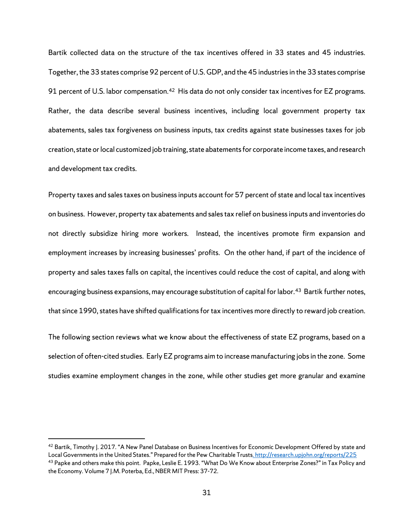Bartik collected data on the structure of the tax incentives offered in 33 states and 45 industries. Together, the 33 states comprise 92 percent of U.S. GDP, and the 45 industries in the 33 states comprise 91 percent of U.S. labor compensation.<sup>42</sup> His data do not only consider tax incentives for EZ programs. Rather, the data describe several business incentives, including local government property tax abatements, sales tax forgiveness on business inputs, tax credits against state businesses taxes for job creation, state or local customized job training, state abatements for corporate income taxes, and research and development tax credits.

Property taxes and sales taxes on business inputs account for 57 percent of state and local tax incentives on business. However, property tax abatements and salestax relief on business inputs and inventories do not directly subsidize hiring more workers. Instead, the incentives promote firm expansion and employment increases by increasing businesses' profits. On the other hand, if part of the incidence of property and sales taxes falls on capital, the incentives could reduce the cost of capital, and along with encouraging business expansions, may encourage substitution of capital for labor.<sup>43</sup> Bartik further notes, that since 1990, states have shifted qualifications for tax incentives more directly to reward job creation.

The following section reviews what we know about the effectiveness of state EZ programs, based on a selection of often-cited studies. Early EZ programs aim to increase manufacturing jobs in the zone. Some studies examine employment changes in the zone, while other studies get more granular and examine

<span id="page-34-1"></span><span id="page-34-0"></span><sup>&</sup>lt;sup>42</sup> Bartik, Timothy I. 2017. "A New Panel Database on Business Incentives for Economic Development Offered by state and Local Governments in the United States." Prepared for the Pew Charitable Trusts. http://research.upjohn.org/reports/225 43 Papke and others make this point. Papke, Leslie E. 1993. "What Do We Know about Enterprise Zones?" in Tax Policy and the Economy. Volume 7 J.M. Poterba, Ed., NBER MIT Press: 37-72.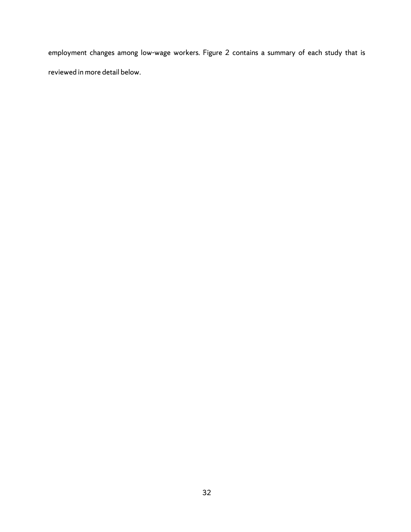employment changes among low-wage workers. Figure 2 contains a summary of each study that is reviewed in more detail below.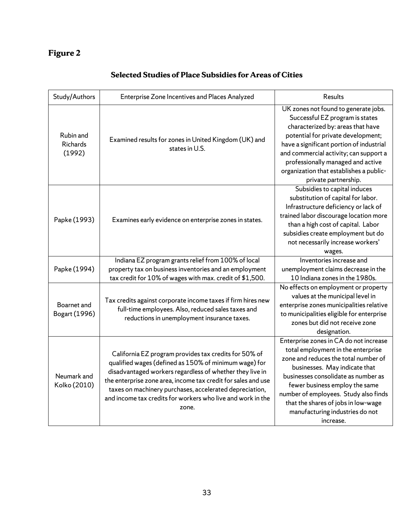# **Figure 2**

|  |  |  | Selected Studies of Place Subsidies for Areas of Cities |
|--|--|--|---------------------------------------------------------|
|--|--|--|---------------------------------------------------------|

| Study/Authors                   | Enterprise Zone Incentives and Places Analyzed                                                                                                                                                                                                                                                                                                                                 | Results                                                                                                                                                                                                                                                                                                                                                        |
|---------------------------------|--------------------------------------------------------------------------------------------------------------------------------------------------------------------------------------------------------------------------------------------------------------------------------------------------------------------------------------------------------------------------------|----------------------------------------------------------------------------------------------------------------------------------------------------------------------------------------------------------------------------------------------------------------------------------------------------------------------------------------------------------------|
| Rubin and<br>Richards<br>(1992) | Examined results for zones in United Kingdom (UK) and<br>states in U.S.                                                                                                                                                                                                                                                                                                        | UK zones not found to generate jobs.<br>Successful EZ program is states<br>characterized by: areas that have<br>potential for private development;<br>have a significant portion of industrial<br>and commercial activity; can support a<br>professionally managed and active<br>organization that establishes a public-<br>private partnership.               |
| Papke (1993)                    | Examines early evidence on enterprise zones in states.                                                                                                                                                                                                                                                                                                                         | Subsidies to capital induces<br>substitution of capital for labor.<br>Infrastructure deficiency or lack of<br>trained labor discourage location more<br>than a high cost of capital. Labor<br>subsidies create employment but do<br>not necessarily increase workers'<br>wages.                                                                                |
| Papke (1994)                    | Indiana EZ program grants relief from 100% of local<br>property tax on business inventories and an employment<br>tax credit for 10% of wages with max. credit of \$1,500.                                                                                                                                                                                                      | Inventories increase and<br>unemployment claims decrease in the<br>10 Indiana zones in the 1980s.                                                                                                                                                                                                                                                              |
| Boarnet and<br>Bogart (1996)    | Tax credits against corporate income taxes if firm hires new<br>full-time employees. Also, reduced sales taxes and<br>reductions in unemployment insurance taxes.                                                                                                                                                                                                              | No effects on employment or property<br>values at the municipal level in<br>enterprise zones municipalities relative<br>to municipalities eligible for enterprise<br>zones but did not receive zone<br>designation.                                                                                                                                            |
| Neumark and<br>Kolko (2010)     | California EZ program provides tax credits for 50% of<br>qualified wages (defined as 150% of minimum wage) for<br>disadvantaged workers regardless of whether they live in<br>the enterprise zone area, income tax credit for sales and use<br>taxes on machinery purchases, accelerated depreciation,<br>and income tax credits for workers who live and work in the<br>zone. | Enterprise zones in CA do not increase<br>total employment in the enterprise<br>zone and reduces the total number of<br>businesses. May indicate that<br>businesses consolidate as number as<br>fewer business employ the same<br>number of employees. Study also finds<br>that the shares of jobs in low-wage<br>manufacturing industries do not<br>increase. |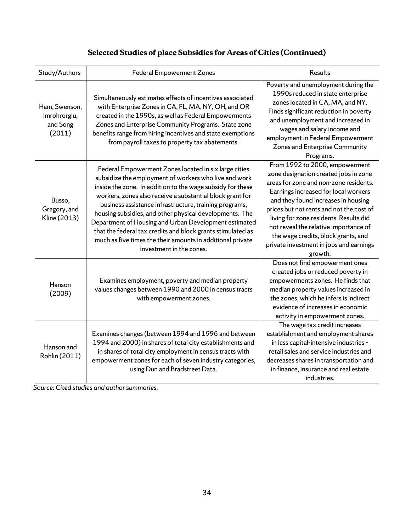| Study/Authors                                       | <b>Federal Empowerment Zones</b>                                                                                                                                                                                                                                                                                                                                                                                                                                                                                                                                                 | <b>Results</b>                                                                                                                                                                                                                                                                                                                                                                                                               |
|-----------------------------------------------------|----------------------------------------------------------------------------------------------------------------------------------------------------------------------------------------------------------------------------------------------------------------------------------------------------------------------------------------------------------------------------------------------------------------------------------------------------------------------------------------------------------------------------------------------------------------------------------|------------------------------------------------------------------------------------------------------------------------------------------------------------------------------------------------------------------------------------------------------------------------------------------------------------------------------------------------------------------------------------------------------------------------------|
| Ham, Swenson,<br>Imrohrorglu,<br>and Song<br>(2011) | Simultaneously estimates effects of incentives associated<br>with Enterprise Zones in CA, FL, MA, NY, OH, and OR<br>created in the 1990s, as well as Federal Empowerments<br>Zones and Enterprise Community Programs. State zone<br>benefits range from hiring incentives and state exemptions<br>from payroll taxes to property tax abatements.                                                                                                                                                                                                                                 | Poverty and unemployment during the<br>1990s reduced in state enterprise<br>zones located in CA, MA, and NY.<br>Finds significant reduction in poverty<br>and unemployment and increased in<br>wages and salary income and<br>employment in Federal Empowerment<br>Zones and Enterprise Community<br>Programs.                                                                                                               |
| Busso,<br>Gregory, and<br>Kline (2013)              | Federal Empowerment Zones located in six large cities<br>subsidize the employment of workers who live and work<br>inside the zone. In addition to the wage subsidy for these<br>workers, zones also receive a substantial block grant for<br>business assistance infrastructure, training programs,<br>housing subsidies, and other physical developments. The<br>Department of Housing and Urban Development estimated<br>that the federal tax credits and block grants stimulated as<br>much as five times the their amounts in additional private<br>investment in the zones. | From 1992 to 2000, empowerment<br>zone designation created jobs in zone<br>areas for zone and non-zone residents.<br>Earnings increased for local workers<br>and they found increases in housing<br>prices but not rents and not the cost of<br>living for zone residents. Results did<br>not reveal the relative importance of<br>the wage credits, block grants, and<br>private investment in jobs and earnings<br>growth. |
| Hanson<br>(2009)                                    | Examines employment, poverty and median property<br>values changes between 1990 and 2000 in census tracts<br>with empowerment zones.                                                                                                                                                                                                                                                                                                                                                                                                                                             | Does not find empowerment ones<br>created jobs or reduced poverty in<br>empowerments zones. He finds that<br>median property values increased in<br>the zones, which he infers is indirect<br>evidence of increases in economic<br>activity in empowerment zones.                                                                                                                                                            |
| Hanson and<br>Rohlin (2011)                         | Examines changes (between 1994 and 1996 and between<br>1994 and 2000) in shares of total city establishments and<br>in shares of total city employment in census tracts with<br>empowerment zones for each of seven industry categories,<br>using Dun and Bradstreet Data.                                                                                                                                                                                                                                                                                                       | The wage tax credit increases<br>establishment and employment shares<br>in less capital-intensive industries -<br>retail sales and service industries and<br>decreases shares in transportation and<br>in finance, insurance and real estate<br>industries.                                                                                                                                                                  |

# **Selected Studies of place Subsidies for Areas of Cities (Continued)**

 $\frac{1}{2}$ Source: Cited studies and author summaries.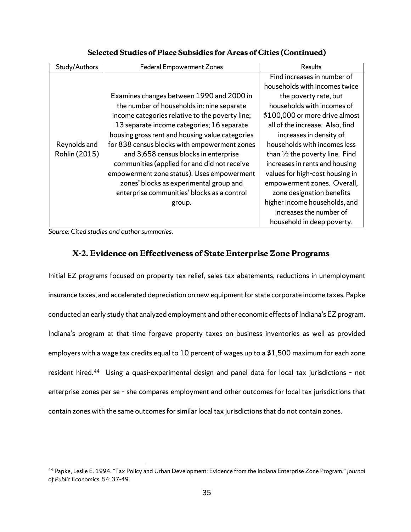| Study/Authors | <b>Federal Empowerment Zones</b>                | Results                                   |
|---------------|-------------------------------------------------|-------------------------------------------|
|               |                                                 | Find increases in number of               |
|               |                                                 | households with incomes twice             |
|               | Examines changes between 1990 and 2000 in       | the poverty rate, but                     |
|               | the number of households in: nine separate      | households with incomes of                |
|               | income categories relative to the poverty line; | \$100,000 or more drive almost            |
|               | 13 separate income categories; 16 separate      | all of the increase. Also, find           |
|               | housing gross rent and housing value categories | increases in density of                   |
| Reynolds and  | for 838 census blocks with empowerment zones    | households with incomes less              |
| Rohlin (2015) | and 3,658 census blocks in enterprise           | than $\frac{1}{2}$ the poverty line. Find |
|               | communities (applied for and did not receive    | increases in rents and housing            |
|               | empowerment zone status). Uses empowerment      | values for high-cost housing in           |
|               | zones' blocks as experimental group and         | empowerment zones. Overall,               |
|               | enterprise communities' blocks as a control     | zone designation benefits                 |
|               | group.                                          | higher income households, and             |
|               |                                                 | increases the number of                   |
|               |                                                 | household in deep poverty.                |

**Selected Studies of Place Subsidies for Areas of Cities (Continued)**

*Source: Cited studies and author summaries.* 

 $\overline{a}$ 

# **X-2. Evidence on Effectiveness of State Enterprise Zone Programs**

Initial EZ programs focused on property tax relief, sales tax abatements, reductions in unemployment insurance taxes, and accelerated depreciation on new equipment for state corporate income taxes. Papke conducted an early study that analyzed employment and other economic effects of Indiana's EZ program. Indiana's program at that time forgave property taxes on business inventories as well as provided employers with a wage tax credits equal to 10 percent of wages up to a \$1,500 maximum for each zone resident hired.<sup>44</sup> Using a quasi-experimental design and panel data for local tax jurisdictions - not enterprise zones per se – she compares employment and other outcomes for local tax jurisdictions that contain zones with the same outcomes for similar local tax jurisdictions that do not contain zones.

<span id="page-38-0"></span><sup>44</sup> Papke, Leslie E. 1994. "Tax Policy and Urban Development: Evidence from the Indiana Enterprise Zone Program." *Journal of Public Economics.* 54: 37-49.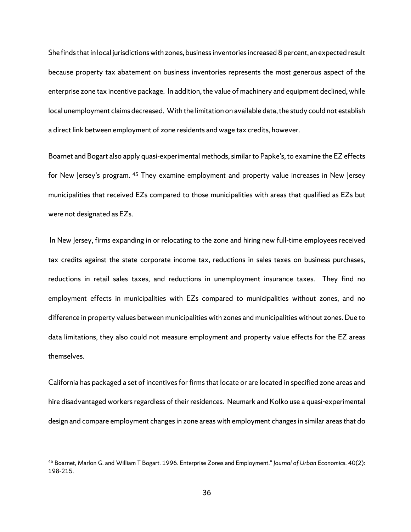She finds that in local jurisdictions with zones, business inventories increased 8 percent, an expected result because property tax abatement on business inventories represents the most generous aspect of the enterprise zone tax incentive package. In addition, the value of machinery and equipment declined, while local unemployment claims decreased. With the limitation on available data, the study could not establish a direct link between employment of zone residents and wage tax credits, however.

Boarnet and Bogart also apply quasi-experimental methods, similar to Papke's, to examine the EZ effects for New Jersey's program. <sup>[45](#page-39-0)</sup> They examine employment and property value increases in New Jersey municipalities that received EZs compared to those municipalities with areas that qualified as EZs but were not designated as EZs.

In New Jersey, firms expanding in or relocating to the zone and hiring new full-time employees received tax credits against the state corporate income tax, reductions in sales taxes on business purchases, reductions in retail sales taxes, and reductions in unemployment insurance taxes. They find no employment effects in municipalities with EZs compared to municipalities without zones, and no difference in property values between municipalities with zones and municipalities without zones. Due to data limitations, they also could not measure employment and property value effects for the EZ areas themselves.

California has packaged a set of incentives for firms that locate or are located in specified zone areas and hire disadvantaged workers regardless of their residences. Neumark and Kolko use a quasi-experimental design and compare employment changes in zone areas with employment changes in similar areas that do

<span id="page-39-0"></span><sup>45</sup> Boarnet, Marlon G. and William T Bogart. 1996. Enterprise Zones and Employment." *Journal of Urban Economics.* 40(2): 198-215.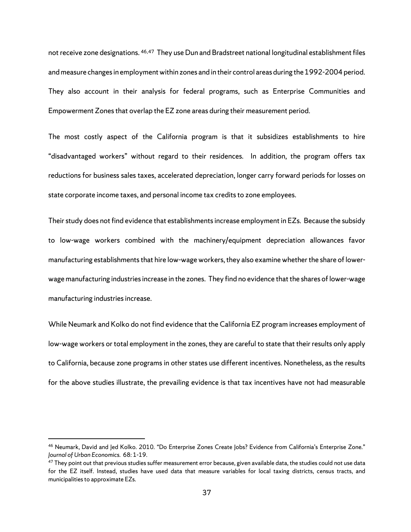not receive zone designations. [46,](#page-40-0)[47](#page-40-1) They use Dun and Bradstreet national longitudinal establishment files and measure changes in employment within zones and in their control areas during the 1992-2004 period. They also account in their analysis for federal programs, such as Enterprise Communities and Empowerment Zones that overlap the EZ zone areas during their measurement period.

The most costly aspect of the California program is that it subsidizes establishments to hire "disadvantaged workers" without regard to their residences. In addition, the program offers tax reductions for business sales taxes, accelerated depreciation, longer carry forward periods for losses on state corporate income taxes, and personal income tax credits to zone employees.

Their study does not find evidence that establishments increase employment in EZs. Because the subsidy to low-wage workers combined with the machinery/equipment depreciation allowances favor manufacturing establishments that hire low-wage workers, they also examine whether the share of lowerwage manufacturing industries increase in the zones. They find no evidence that the shares of lower-wage manufacturing industries increase.

While Neumark and Kolko do not find evidence that the California EZ program increases employment of low-wage workers or total employment in the zones, they are careful to state that their results only apply to California, because zone programs in other states use different incentives. Nonetheless, as the results for the above studies illustrate, the prevailing evidence is that tax incentives have not had measurable

<span id="page-40-0"></span><sup>46</sup> Neumark, David and Jed Kolko. 2010. "Do Enterprise Zones Create Jobs? Evidence from California's Enterprise Zone." *Journal of Urban Economics.* 68: 1-19.

<span id="page-40-1"></span> $^{47}$  They point out that previous studies suffer measurement error because, given available data, the studies could not use data for the EZ itself. Instead, studies have used data that measure variables for local taxing districts, census tracts, and municipalities to approximate EZs.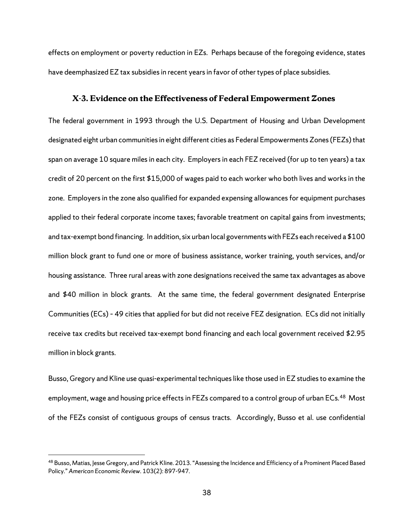effects on employment or poverty reduction in EZs. Perhaps because of the foregoing evidence, states have deemphasized EZ tax subsidies in recent years in favor of other types of place subsidies.

#### **X-3. Evidence on the Effectiveness of Federal Empowerment Zones**

The federal government in 1993 through the U.S. Department of Housing and Urban Development designated eight urban communities in eight different cities as Federal Empowerments Zones(FEZs) that span on average 10 square miles in each city. Employers in each FEZ received (for up to ten years) a tax credit of 20 percent on the first \$15,000 of wages paid to each worker who both lives and works in the zone. Employers in the zone also qualified for expanded expensing allowances for equipment purchases applied to their federal corporate income taxes; favorable treatment on capital gains from investments; and tax-exempt bond financing. In addition, six urban local governmentswith FEZs each received a \$100 million block grant to fund one or more of business assistance, worker training, youth services, and/or housing assistance. Three rural areas with zone designations received the same tax advantages as above and \$40 million in block grants. At the same time, the federal government designated Enterprise Communities (ECs) – 49 cities that applied for but did not receive FEZ designation. ECs did not initially receive tax credits but received tax-exempt bond financing and each local government received \$2.95 million in block grants.

Busso, Gregory and Kline use quasi-experimental techniques like those used in EZ studies to examine the employment, wage and housing price effects in FEZs compared to a control group of urban ECs.<sup>[48](#page-41-0)</sup> Most of the FEZs consist of contiguous groups of census tracts. Accordingly, Busso et al. use confidential

<span id="page-41-0"></span><sup>&</sup>lt;sup>48</sup> Busso, Matias, Jesse Gregory, and Patrick Kline. 2013. "Assessing the Incidence and Efficiency of a Prominent Placed Based Policy." *American Economic Review.* 103(2): 897-947.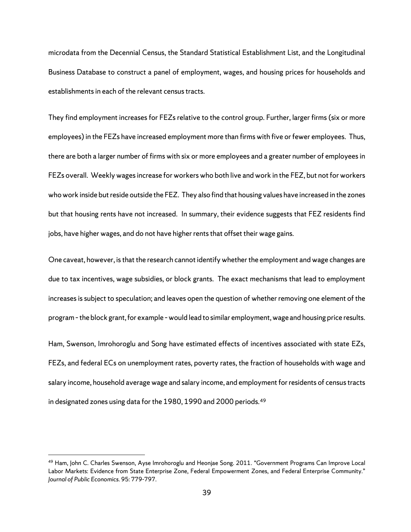microdata from the Decennial Census, the Standard Statistical Establishment List, and the Longitudinal Business Database to construct a panel of employment, wages, and housing prices for households and establishments in each of the relevant census tracts.

They find employment increases for FEZs relative to the control group. Further, larger firms (six or more employees) in the FEZs have increased employment more than firms with five or fewer employees. Thus, there are both a larger number of firms with six or more employees and a greater number of employees in FEZs overall. Weekly wages increase for workers who both live and work in the FEZ, but not for workers who work inside but reside outside the FEZ. They also find that housing values have increased in the zones but that housing rents have not increased. In summary, their evidence suggests that FEZ residents find jobs, have higher wages, and do not have higher rents that offset their wage gains.

One caveat, however, is that the research cannot identify whether the employment and wage changes are due to tax incentives, wage subsidies, or block grants. The exact mechanisms that lead to employment increases is subject to speculation; and leaves open the question of whether removing one element of the program – the block grant, for example – would lead to similar employment, wage and housing price results.

Ham, Swenson, Imrohoroglu and Song have estimated effects of incentives associated with state EZs, FEZs, and federal ECs on unemployment rates, poverty rates, the fraction of households with wage and salary income, household average wage and salary income, and employment for residents of census tracts in designated zones using data for the 1980, 1990 and 2000 periods.<sup>[49](#page-42-0)</sup>

<span id="page-42-0"></span><sup>49</sup> Ham, John C. Charles Swenson, Ayse Imrohoroglu and Heonjae Song. 2011. "Government Programs Can Improve Local Labor Markets: Evidence from State Enterprise Zone, Federal Empowerment Zones, and Federal Enterprise Community." *Journal of Public Economics.* 95: 779-797.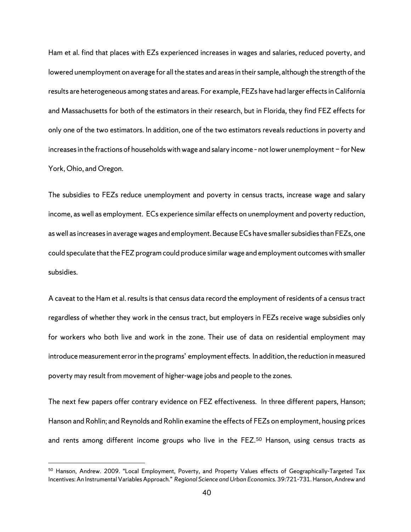Ham et al. find that places with EZs experienced increases in wages and salaries, reduced poverty, and lowered unemployment on average for all the states and areas in their sample, although the strength of the results are heterogeneous among states and areas. For example, FEZs have had larger effects in California and Massachusetts for both of the estimators in their research, but in Florida, they find FEZ effects for only one of the two estimators. In addition, one of the two estimators reveals reductions in poverty and increases in the fractions of households with wage and salary income – not lower unemployment − for New York, Ohio, and Oregon.

The subsidies to FEZs reduce unemployment and poverty in census tracts, increase wage and salary income, as well as employment. ECs experience similar effects on unemployment and poverty reduction, as well as increases in average wages and employment. Because ECs have smaller subsidiesthan FEZs, one could speculate that the FEZ program could produce similar wage and employment outcomes with smaller subsidies.

A caveat to the Ham et al. results is that census data record the employment of residents of a census tract regardless of whether they work in the census tract, but employers in FEZs receive wage subsidies only for workers who both live and work in the zone. Their use of data on residential employment may introduce measurement error in the programs' employment effects. In addition, the reduction in measured poverty may result from movement of higher-wage jobs and people to the zones.

The next few papers offer contrary evidence on FEZ effectiveness. In three different papers, Hanson; Hanson and Rohlin; and Reynolds and Rohlin examine the effects of FEZs on employment, housing prices and rents among different income groups who live in the FEZ. [50](#page-43-0) Hanson, using census tracts as

<span id="page-43-0"></span><sup>50</sup> Hanson, Andrew. 2009. "Local Employment, Poverty, and Property Values effects of Geographically-Targeted Tax Incentives: An Instrumental Variables Approach." *Regional Science and Urban Economics.* 39:721-731. Hanson, Andrew and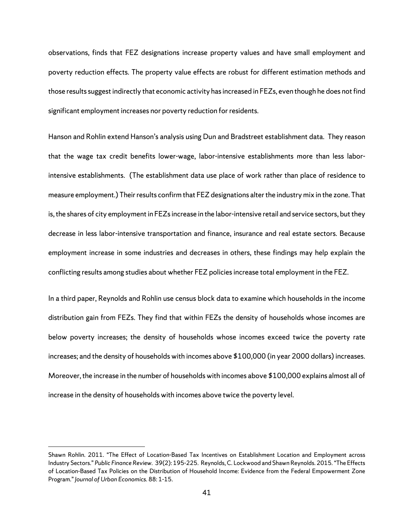observations, finds that FEZ designations increase property values and have small employment and poverty reduction effects. The property value effects are robust for different estimation methods and those results suggest indirectly that economic activity has increased in FEZs, even though he does not find significant employment increases nor poverty reduction for residents.

Hanson and Rohlin extend Hanson's analysis using Dun and Bradstreet establishment data. They reason that the wage tax credit benefits lower-wage, labor-intensive establishments more than less laborintensive establishments. (The establishment data use place of work rather than place of residence to measure employment.) Their results confirm that FEZ designations alter the industry mix in the zone. That is, the shares of city employment in FEZs increase in the labor-intensive retail and service sectors, but they decrease in less labor-intensive transportation and finance, insurance and real estate sectors. Because employment increase in some industries and decreases in others, these findings may help explain the conflicting results among studies about whether FEZ policies increase total employment in the FEZ.

In a third paper, Reynolds and Rohlin use census block data to examine which households in the income distribution gain from FEZs. They find that within FEZs the density of households whose incomes are below poverty increases; the density of households whose incomes exceed twice the poverty rate increases; and the density of households with incomes above \$100,000 (in year 2000 dollars) increases. Moreover, the increase in the number of households with incomes above \$100,000 explains almost all of increase in the density of households with incomes above twice the poverty level.

Shawn Rohlin. 2011. "The Effect of Location-Based Tax Incentives on Establishment Location and Employment across Industry Sectors." *Public Finance Review.* 39(2): 195-225. Reynolds, C. Lockwood and Shawn Reynolds. 2015. "The Effects of Location-Based Tax Policies on the Distribution of Household Income: Evidence from the Federal Empowerment Zone Program." *Journal of Urban Economics.* 88: 1-15.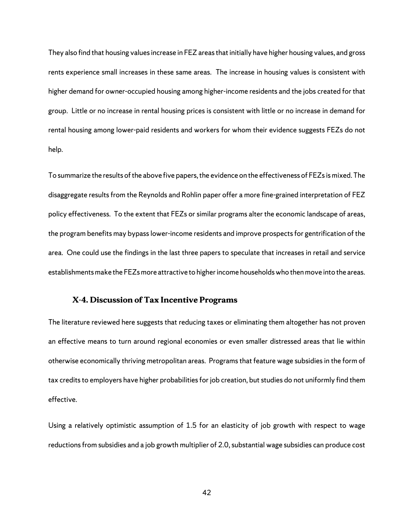They also find that housing values increase in FEZ areas that initially have higher housing values, and gross rents experience small increases in these same areas. The increase in housing values is consistent with higher demand for owner-occupied housing among higher-income residents and the jobs created for that group. Little or no increase in rental housing prices is consistent with little or no increase in demand for rental housing among lower-paid residents and workers for whom their evidence suggests FEZs do not help.

To summarize the results of the above five papers, the evidence on the effectiveness of FEZsis mixed. The disaggregate results from the Reynolds and Rohlin paper offer a more fine-grained interpretation of FEZ policy effectiveness. To the extent that FEZs or similar programs alter the economic landscape of areas, the program benefits may bypass lower-income residents and improve prospects for gentrification of the area. One could use the findings in the last three papers to speculate that increases in retail and service establishments make the FEZs more attractive to higher income households who then move into the areas.

#### **X-4. Discussion of Tax Incentive Programs**

The literature reviewed here suggests that reducing taxes or eliminating them altogether has not proven an effective means to turn around regional economies or even smaller distressed areas that lie within otherwise economically thriving metropolitan areas. Programs that feature wage subsidies in the form of tax credits to employers have higher probabilities for job creation, but studies do not uniformly find them effective.

Using a relatively optimistic assumption of 1.5 for an elasticity of job growth with respect to wage reductions from subsidies and a job growth multiplier of 2.0, substantial wage subsidies can produce cost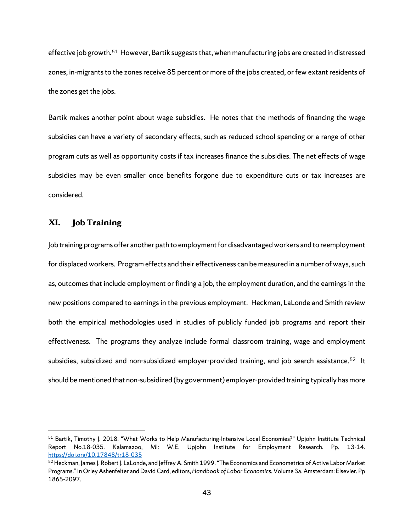effective job growth.[51](#page-46-0) However, Bartik suggests that, when manufacturing jobs are created in distressed zones, in-migrants to the zones receive 85 percent or more of the jobs created, or few extant residents of the zones get the jobs.

Bartik makes another point about wage subsidies. He notes that the methods of financing the wage subsidies can have a variety of secondary effects, such as reduced school spending or a range of other program cuts as well as opportunity costs if tax increases finance the subsidies. The net effects of wage subsidies may be even smaller once benefits forgone due to expenditure cuts or tax increases are considered.

### **XI. Job Training**

 $\overline{a}$ 

Job training programs offer another path to employment for disadvantaged workers and to reemployment for displaced workers. Program effects and their effectiveness can be measured in a number of ways, such as, outcomes that include employment or finding a job, the employment duration, and the earnings in the new positions compared to earnings in the previous employment. Heckman, LaLonde and Smith review both the empirical methodologies used in studies of publicly funded job programs and report their effectiveness. The programs they analyze include formal classroom training, wage and employment subsidies, subsidized and non-subsidized employer-provided training, and job search assistance.<sup>[52](#page-46-1)</sup> It should be mentioned that non-subsidized (by government) employer-provided training typically has more

<span id="page-46-0"></span><sup>51</sup> Bartik, Timothy J. 2018. "What Works to Help Manufacturing-Intensive Local Economies?" Upjohn Institute Technical Report No.18-035. Kalamazoo, MI: W.E. Upjohn Institute for Employment Research. Pp. 13-14. <https://doi.org/10.17848/tr18-035>

<span id="page-46-1"></span><sup>&</sup>lt;sup>52</sup> Heckman, James J. Robert J. LaLonde, and Jeffrey A. Smith 1999. "The Economics and Econometrics of Active Labor Market Programs." In Orley Ashenfelter and David Card, editors, *Handbook of Labor Economics.* Volume 3a. Amsterdam: Elsevier. Pp 1865-2097.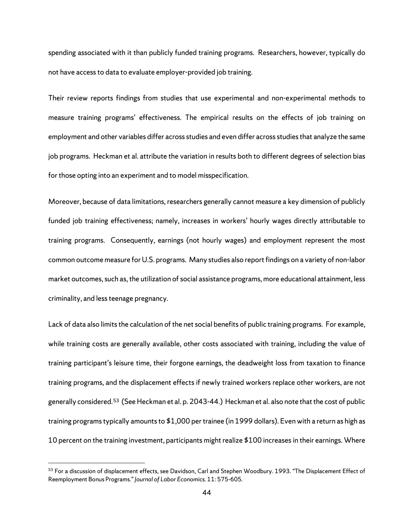spending associated with it than publicly funded training programs. Researchers, however, typically do not have access to data to evaluate employer-provided job training.

Their review reports findings from studies that use experimental and non-experimental methods to measure training programs' effectiveness. The empirical results on the effects of job training on employment and other variables differ across studies and even differ across studies that analyze the same job programs. Heckman et al. attribute the variation in results both to different degrees of selection bias for those opting into an experiment and to model misspecification.

Moreover, because of data limitations, researchers generally cannot measure a key dimension of publicly funded job training effectiveness; namely, increases in workers' hourly wages directly attributable to training programs. Consequently, earnings (not hourly wages) and employment represent the most common outcome measure for U.S. programs. Many studies also report findings on a variety of non-labor market outcomes, such as, the utilization of social assistance programs, more educational attainment, less criminality, and less teenage pregnancy.

Lack of data also limits the calculation of the net social benefits of public training programs. For example, while training costs are generally available, other costs associated with training, including the value of training participant's leisure time, their forgone earnings, the deadweight loss from taxation to finance training programs, and the displacement effects if newly trained workers replace other workers, are not generally considered.<sup>53</sup> (See Heckman et al. p. 2043-44.) Heckman et al. also note that the cost of public training programs typically amounts to \$1,000 per trainee (in 1999 dollars). Even with a return as high as 10 percent on the training investment, participants might realize \$100 increases in their earnings. Where

<span id="page-47-0"></span><sup>53</sup> For a discussion of displacement effects, see Davidson, Carl and Stephen Woodbury. 1993. "The Displacement Effect of Reemployment Bonus Programs." *Journal of Labor Economics.* 11: 575-605.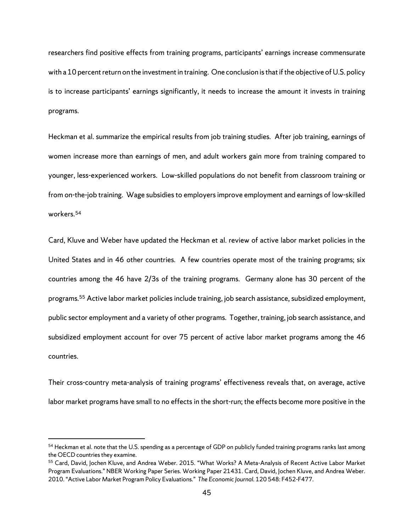researchers find positive effects from training programs, participants' earnings increase commensurate with a 10 percent return on the investment in training. One conclusion is that if the objective of U.S. policy is to increase participants' earnings significantly, it needs to increase the amount it invests in training programs.

Heckman et al. summarize the empirical results from job training studies. After job training, earnings of women increase more than earnings of men, and adult workers gain more from training compared to younger, less-experienced workers. Low-skilled populations do not benefit from classroom training or from on-the-job training. Wage subsidies to employers improve employment and earnings of low-skilled workers.[54](#page-48-0)

Card, Kluve and Weber have updated the Heckman et al. review of active labor market policies in the United States and in 46 other countries. A few countries operate most of the training programs; six countries among the 46 have 2/3s of the training programs. Germany alone has 30 percent of the programs.[55](#page-48-1) Active labor market policies include training, job search assistance, subsidized employment, public sector employment and a variety of other programs. Together, training, job search assistance, and subsidized employment account for over 75 percent of active labor market programs among the 46 countries.

Their cross-country meta-analysis of training programs' effectiveness reveals that, on average, active labor market programs have small to no effects in the short-run; the effects become more positive in the

<span id="page-48-0"></span><sup>54</sup> Heckman et al. note that the U.S. spending as a percentage of GDP on publicly funded training programs ranks last among the OECD countries they examine.

<span id="page-48-1"></span><sup>55</sup> Card, David, Jochen Kluve, and Andrea Weber. 2015. "What Works? A Meta-Analysis of Recent Active Labor Market Program Evaluations." NBER Working Paper Series. Working Paper 21431. Card, David, Jochen Kluve, and Andrea Weber. 2010. "Active Labor Market Program Policy Evaluations." *The Economic Journal.* 120 548: F452-F477.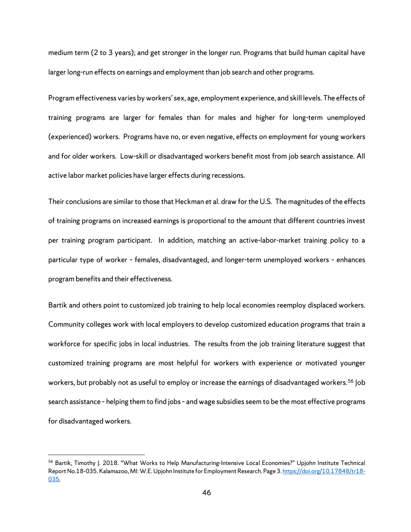medium term (2 to 3 years); and get stronger in the longer run. Programs that build human capital have larger long-run effects on earnings and employment than job search and other programs.

Program effectiveness varies by workers' sex, age, employment experience, and skill levels. The effects of training programs are larger for females than for males and higher for long-term unemployed (experienced) workers. Programs have no, or even negative, effects on employment for young workers and for older workers. Low-skill or disadvantaged workers benefit most from job search assistance. All active labor market policies have larger effects during recessions.

Their conclusions are similar to those that Heckman et al. draw for the U.S. The magnitudes of the effects of training programs on increased earnings is proportional to the amount that different countries invest per training program participant. In addition, matching an active-labor-market training policy to a particular type of worker – females, disadvantaged, and longer-term unemployed workers – enhances program benefits and their effectiveness.

Bartik and others point to customized job training to help local economies reemploy displaced workers. Community colleges work with local employers to develop customized education programs that train a workforce for specific jobs in local industries. The results from the job training literature suggest that customized training programs are most helpful for workers with experience or motivated younger workers, but probably not as useful to employ or increase the earnings of disadvantaged workers.<sup>[56](#page-49-0)</sup> Job search assistance – helping them to find jobs – and wage subsidies seem to be the most effective programs for disadvantaged workers.

<span id="page-49-0"></span><sup>56</sup> Bartik, Timothy J. 2018. "What Works to Help Manufacturing-Intensive Local Economies?" Upjohn Institute Technical Report No.18-035. Kalamazoo, MI: W.E. Upjohn Institute for Employment Research. Page 3[. https://doi.org/10.17848/tr18-](https://doi.org/10.17848/tr18-035) [035.](https://doi.org/10.17848/tr18-035)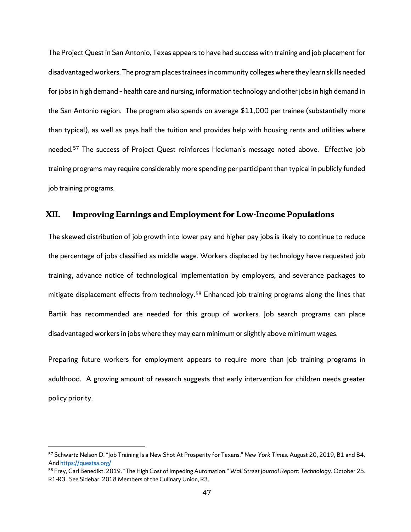The Project Quest in San Antonio, Texas appears to have had success with training and job placement for disadvantaged workers.The program places trainees in community colleges where they learn skills needed for jobs in high demand – health care and nursing, information technology and other jobs in high demand in the San Antonio region. The program also spends on average \$11,000 per trainee (substantially more than typical), as well as pays half the tuition and provides help with housing rents and utilities where needed.[57](#page-50-0) The success of Project Quest reinforces Heckman's message noted above. Effective job training programs may require considerably more spending per participant than typical in publicly funded job training programs.

#### **XII. Improving Earnings and Employment for Low-Income Populations**

The skewed distribution of job growth into lower pay and higher pay jobs is likely to continue to reduce the percentage of jobs classified as middle wage. Workers displaced by technology have requested job training, advance notice of technological implementation by employers, and severance packages to mitigate displacement effects from technology. [58](#page-50-1) Enhanced job training programs along the lines that Bartik has recommended are needed for this group of workers. Job search programs can place disadvantaged workers in jobs where they may earn minimum or slightly above minimum wages.

Preparing future workers for employment appears to require more than job training programs in adulthood. A growing amount of research suggests that early intervention for children needs greater policy priority.

<span id="page-50-0"></span><sup>57</sup> Schwartz Nelson D. "Job Training Is a New Shot At Prosperity for Texans." *New York Times.* August 20, 2019, B1 and B4. An[d https://questsa.org/](https://questsa.org/)

<span id="page-50-1"></span><sup>58</sup> Frey, Carl Benedikt. 2019. "The High Cost of Impeding Automation." *Wall Street Journal Report: Technology.* October 25. R1-R3. See Sidebar: 2018 Members of the Culinary Union, R3.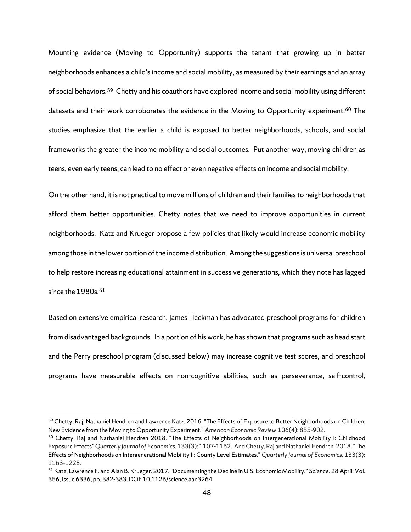Mounting evidence (Moving to Opportunity) supports the tenant that growing up in better neighborhoods enhances a child's income and social mobility, as measured by their earnings and an array of social behaviors.[59](#page-51-0) Chetty and his coauthors have explored income and social mobility using different datasets and their work corroborates the evidence in the Moving to Opportunity experiment.<sup>[60](#page-51-1)</sup> The studies emphasize that the earlier a child is exposed to better neighborhoods, schools, and social frameworks the greater the income mobility and social outcomes. Put another way, moving children as teens, even early teens, can lead to no effect or even negative effects on income and social mobility.

On the other hand, it is not practical to move millions of children and their families to neighborhoods that afford them better opportunities. Chetty notes that we need to improve opportunities in current neighborhoods. Katz and Krueger propose a few policies that likely would increase economic mobility among those in the lower portion of the income distribution. Among the suggestions is universal preschool to help restore increasing educational attainment in successive generations, which they note has lagged since the 1980s.<sup>[61](#page-51-2)</sup>

Based on extensive empirical research, James Heckman has advocated preschool programs for children from disadvantaged backgrounds. In a portion of his work, he has shown that programs such as head start and the Perry preschool program (discussed below) may increase cognitive test scores, and preschool programs have measurable effects on non-cognitive abilities, such as perseverance, self-control,

<span id="page-51-0"></span><sup>&</sup>lt;sup>59</sup> Chetty, Raj, Nathaniel Hendren and Lawrence Katz. 2016. "The Effects of Exposure to Better Neighborhoods on Children:

<span id="page-51-1"></span>New Evidence from the Moving to Opportunity Experiment." *American Economic Review* 106(4): 855-902.<br><sup>60</sup> Chetty, Raj and Nathaniel Hendren 2018. "The Effects of Neighborhoods on Intergenerational Mobility I: Childhood [Exposure Effects"](http://www.rajchetty.com/papers-chronological/) *Quarterly Journal of Economics*. 133(3): 1107-1162. And Chetty, Raj and Nathaniel Hendren. 2018. ["The](http://www.rajchetty.com/papers-chronological/)  [Effects of Neighborhoods on Intergenerational Mobility II: County Level Estimates."](http://www.rajchetty.com/papers-chronological/) *Quarterly Journal of Economics.* 133(3): 1163-1228.

<span id="page-51-2"></span><sup>61</sup> Katz, Lawrence F. and Alan B. Krueger. 2017. "Documenting the Decline in U.S. Economic Mobility." *Science.* 28 April: Vol. 356, Issue 6336, pp. 382-383. DOI: 10.1126/science.aan3264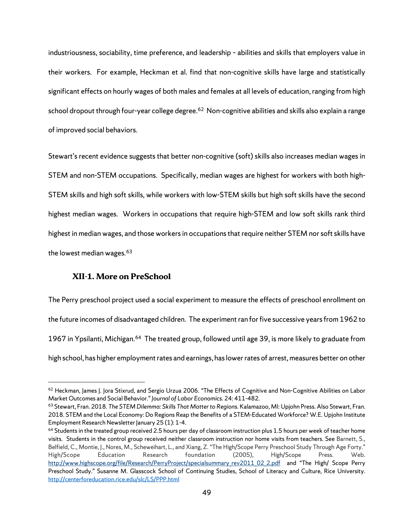industriousness, sociability, time preference, and leadership – abilities and skills that employers value in their workers. For example, Heckman et al. find that non-cognitive skills have large and statistically significant effects on hourly wages of both males and females at all levels of education, ranging from high school dropout through four-year college degree.<sup>62</sup> Non-cognitive abilities and skills also explain a range of improved social behaviors.

Stewart's recent evidence suggests that better non-cognitive (soft) skills also increases median wages in STEM and non-STEM occupations. Specifically, median wages are highest for workers with both high-STEM skills and high soft skills, while workers with low-STEM skills but high soft skills have the second highest median wages. Workers in occupations that require high-STEM and low soft skills rank third highest in median wages, and those workers in occupations that require neither STEM nor soft skills have the lowest median wages.[63](#page-52-1)

### **XII-1. More on PreSchool**

 $\overline{a}$ 

The Perry preschool project used a social experiment to measure the effects of preschool enrollment on the future incomes of disadvantaged children. The experiment ran for five successive years from 1962 to 1967 in Ypsilanti, Michigan.[64](#page-52-2) The treated group, followed until age 39, is more likely to graduate from high school, has higher employment rates and earnings, has lower rates of arrest, measures better on other

<span id="page-52-0"></span><sup>&</sup>lt;sup>62</sup> Heckman, James J. Jora Stixrud, and Sergio Urzua 2006. "The Effects of Cognitive and Non-Cognitive Abilities on Labor Market Outcomes and Social Behavior." *Journal of Labor Economics.* 24: 411-482.

<span id="page-52-1"></span><sup>63</sup> Stewart, Fran. 2018. *The STEM Dilemma: Skills That Matter to Regions.* Kalamazoo, MI: Upjohn Press. Also Stewart, Fran. 2018. STEM and the Local Economy: Do Regions Reap the Benefits of a STEM-Educated Workforce? W.E. Upjohn Institute Employment Research Newsletter January 25 (1): 1-4.

<span id="page-52-2"></span> $64$  Students in the treated group received 2.5 hours per day of classroom instruction plus 1.5 hours per week of teacher home visits. Students in the control group received neither classroom instruction nor home visits from teachers. See Barnett, S., Belfield, C., Montie, J., Nores, M., Scheweihart, L., and Xiang, Z. "The High/Scope Perry Preschool Study Through Age Forty." High/Scope Education Research foundation (2005), High/Scope Press. Web. [http://www.highscope.org/file/Research/PerryProject/specialsummary\\_rev2011\\_02\\_2.pdf](http://www.highscope.org/file/Research/PerryProject/specialsummary_rev2011_02_2.pdf) and "The High/ Scope Perry Preschool Study." Susanne M. Glasscock School of Continuing Studies, School of Literacy and Culture, Rice University. <http://centerforeducation.rice.edu/slc/LS/PPP.html>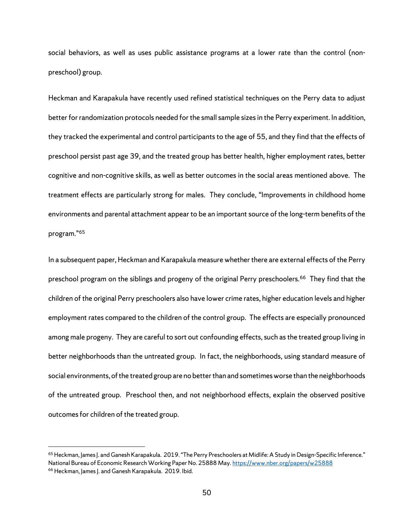social behaviors, as well as uses public assistance programs at a lower rate than the control (nonpreschool) group.

Heckman and Karapakula have recently used refined statistical techniques on the Perry data to adjust better for randomization protocols needed for the small sample sizes in the Perry experiment. In addition, they tracked the experimental and control participants to the age of 55, and they find that the effects of preschool persist past age 39, and the treated group has better health, higher employment rates, better cognitive and non-cognitive skills, as well as better outcomes in the social areas mentioned above. The treatment effects are particularly strong for males. They conclude, "Improvements in childhood home environments and parental attachment appear to be an important source of the long-term benefits of the program."[65](#page-53-0)

In a subsequent paper, Heckman and Karapakula measure whether there are external effects of the Perry preschool program on the siblings and progeny of the original Perry preschoolers.[66](#page-53-1) They find that the children of the original Perry preschoolers also have lower crime rates, higher education levels and higher employment rates compared to the children of the control group. The effects are especially pronounced among male progeny. They are careful to sort out confounding effects, such as the treated group living in better neighborhoods than the untreated group. In fact, the neighborhoods, using standard measure of social environments, of the treated group are no better than and sometimes worse than the neighborhoods of the untreated group. Preschool then, and not neighborhood effects, explain the observed positive outcomes for children of the treated group.

<span id="page-53-1"></span><span id="page-53-0"></span><sup>&</sup>lt;sup>65</sup> Heckman, James J. and Ganesh Karapakula. 2019. "The Perry Preschoolers at Midlife: A Study in Design-Specific Inference." National Bureau of Economic Research Working Paper No. 25888 May[. https://www.nber.org/papers/w25888](https://www.nber.org/papers/w25888) <sup>66</sup> Heckman, James J. and Ganesh Karapakula. 2019. Ibid.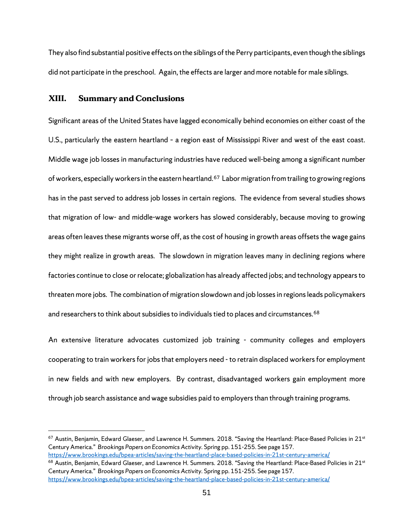They also find substantial positive effects on the siblings of the Perry participants, even though the siblings did not participate in the preschool. Again, the effects are larger and more notable for male siblings.

#### **XIII. Summary and Conclusions**

 $\overline{a}$ 

Significant areas of the United States have lagged economically behind economies on either coast of the U.S., particularly the eastern heartland – a region east of Mississippi River and west of the east coast. Middle wage job losses in manufacturing industries have reduced well-being among a significant number of workers, especially workers in the eastern heartland.<sup>[67](#page-54-0)</sup> Labor migration from trailing to growing regions has in the past served to address job losses in certain regions. The evidence from several studies shows that migration of low- and middle-wage workers has slowed considerably, because moving to growing areas often leaves these migrants worse off, as the cost of housing in growth areas offsets the wage gains they might realize in growth areas. The slowdown in migration leaves many in declining regions where factories continue to close or relocate; globalization has already affected jobs; and technology appears to threaten more jobs. The combination of migration slowdown and job losses in regions leads policymakers and researchers to think about subsidies to individuals tied to places and circumstances.<sup>[68](#page-54-1)</sup>

An extensive literature advocates customized job training - community colleges and employers cooperating to train workers for jobs that employers need - to retrain displaced workers for employment in new fields and with new employers. By contrast, disadvantaged workers gain employment more through job search assistance and wage subsidies paid to employers than through training programs.

<span id="page-54-0"></span><sup>67</sup> Austin, Benjamin, Edward Glaeser, and Lawrence H. Summers. 2018. "Saving the Heartland: Place-Based Policies in 21<sup>st</sup> Century America." *Brookings Papers on Economics Activity.* Spring pp. 151-255. See page 157.

<span id="page-54-1"></span>https://www.brookings.edu/bpea-articles/saving-the-heartland-place-based-policies-in-21st-century-america/<br><sup>68</sup> Austin, Benjamin, Edward Glaeser, and Lawrence H. Summers. 2018. "Saving the Heartland: Place-Based Policies i Century America." *Brookings Papers on Economics Activity.* Spring pp. 151-255. See page 157. <https://www.brookings.edu/bpea-articles/saving-the-heartland-place-based-policies-in-21st-century-america/>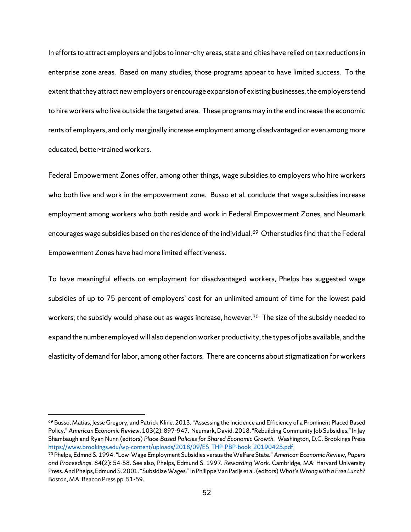In efforts to attract employers and jobs to inner-city areas, state and cities have relied on tax reductions in enterprise zone areas. Based on many studies, those programs appear to have limited success. To the extent that they attract new employers or encourage expansion of existing businesses, the employers tend to hire workers who live outside the targeted area. These programs may in the end increase the economic rents of employers, and only marginally increase employment among disadvantaged or even among more educated, better-trained workers.

Federal Empowerment Zones offer, among other things, wage subsidies to employers who hire workers who both live and work in the empowerment zone. Busso et al. conclude that wage subsidies increase employment among workers who both reside and work in Federal Empowerment Zones, and Neumark encourages wage subsidies based on the residence of the individual.<sup>[69](#page-55-0)</sup> Other studies find that the Federal Empowerment Zones have had more limited effectiveness.

To have meaningful effects on employment for disadvantaged workers, Phelps has suggested wage subsidies of up to 75 percent of employers' cost for an unlimited amount of time for the lowest paid workers; the subsidy would phase out as wages increase, however.<sup>[70](#page-55-1)</sup> The size of the subsidy needed to expand the number employed will also depend on worker productivity, the types of jobs available, and the elasticity of demand for labor, among other factors. There are concerns about stigmatization for workers

<span id="page-55-0"></span><sup>&</sup>lt;sup>69</sup> Busso, Matias, Jesse Gregory, and Patrick Kline. 2013. "Assessing the Incidence and Efficiency of a Prominent Placed Based Policy." *American Economic Review.* 103(2): 897-947. Neumark, David. 2018. "Rebuilding Community Job Subsidies." In Jay Shambaugh and Ryan Nunn (editors) *Place-Based Policies for Shared Economic Growth.* Washington, D.C. Brookings Press [https://www.brookings.edu/wp-content/uploads/2018/09/ES\\_THP\\_PBP-book\\_20190425.pdf](https://www.brookings.edu/wp-content/uploads/2018/09/ES_THP_PBP-book_20190425.pdf)

<span id="page-55-1"></span><sup>70</sup> Phelps, Edmnd S. 1994. "Low-Wage Employment Subsidies versus the Welfare State." *American Economic Review, Papers and Proceedings*. 84(2): 54-58. See also, Phelps, Edmund S. 1997. *Rewarding Work*. Cambridge, MA: Harvard University Press. And Phelps, Edmund S. 2001. "Subsidize Wages." In Philippe Van Parijs et al. (editors) *What's Wrong with a Free Lunch?* Boston, MA: Beacon Press pp. 51-59.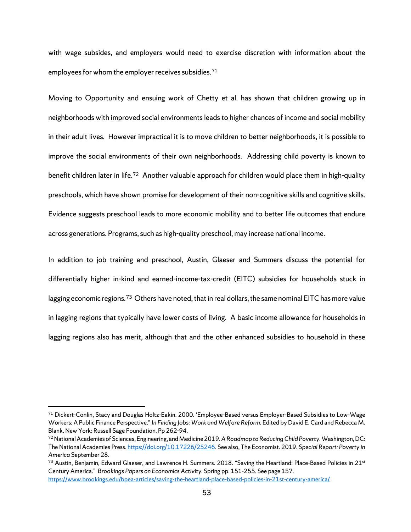with wage subsides, and employers would need to exercise discretion with information about the employees for whom the employer receives subsidies.<sup>[71](#page-56-0)</sup>

Moving to Opportunity and ensuing work of Chetty et al. has shown that children growing up in neighborhoods with improved social environments leads to higher chances of income and social mobility in their adult lives. However impractical it is to move children to better neighborhoods, it is possible to improve the social environments of their own neighborhoods. Addressing child poverty is known to benefit children later in life.<sup>72</sup> Another valuable approach for children would place them in high-quality preschools, which have shown promise for development of their non-cognitive skills and cognitive skills. Evidence suggests preschool leads to more economic mobility and to better life outcomes that endure across generations. Programs, such as high-quality preschool, may increase national income.

In addition to job training and preschool, Austin, Glaeser and Summers discuss the potential for differentially higher in-kind and earned-income-tax-credit (EITC) subsidies for households stuck in lagging economic regions.<sup>73</sup> Others have noted, that in real dollars, the same nominal EITC has more value in lagging regions that typically have lower costs of living. A basic income allowance for households in lagging regions also has merit, although that and the other enhanced subsidies to household in these

<span id="page-56-0"></span><sup>71</sup> Dickert-Conlin, Stacy and Douglas Holtz-Eakin. 2000. 'Employee-Based versus Employer-Based Subsidies to Low-Wage Workers: A Public Finance Perspective." *In Finding Jobs: Work and Welfare Reform*. Edited by David E. Card and Rebecca M. Blank. New York: Russell Sage Foundation. Pp 262-94.

<span id="page-56-1"></span><sup>72</sup>National Academies of Sciences, Engineering, and Medicine 2019. *A Roadmap to Reducing Child Poverty*. Washington, DC: The National Academies Press[. https://doi.org/10.17226/25246.](https://doi.org/10.17226/25246) See also, The Economist. 2019. *Special Report: Poverty in America* September 28.

<span id="page-56-2"></span> $^{73}$  Austin, Benjamin, Edward Glaeser, and Lawrence H. Summers. 2018. "Saving the Heartland: Place-Based Policies in 21<sup>st</sup> Century America." *Brookings Papers on Economics Activity.* Spring pp. 151-255. See page 157. <https://www.brookings.edu/bpea-articles/saving-the-heartland-place-based-policies-in-21st-century-america/>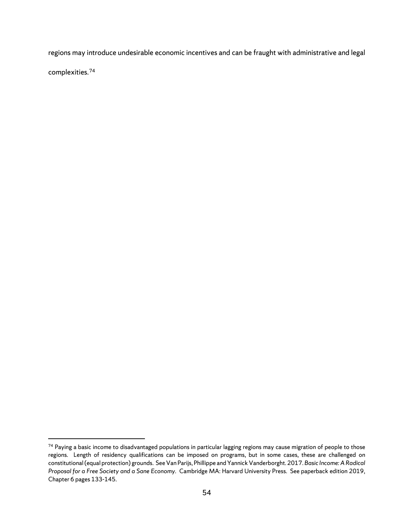regions may introduce undesirable economic incentives and can be fraught with administrative and legal

complexities.[74](#page-57-0) 

<span id="page-57-0"></span><sup>&</sup>lt;sup>74</sup> Paying a basic income to disadvantaged populations in particular lagging regions may cause migration of people to those regions. Length of residency qualifications can be imposed on programs, but in some cases, these are challenged on constitutional (equal protection) grounds. See Van Parijs, Phillippe and Yannick Vanderborght. 2017. *Basic Income: A Radical Proposal for a Free Society and a Sane Economy.* Cambridge MA: Harvard University Press. See paperback edition 2019, Chapter 6 pages 133-145.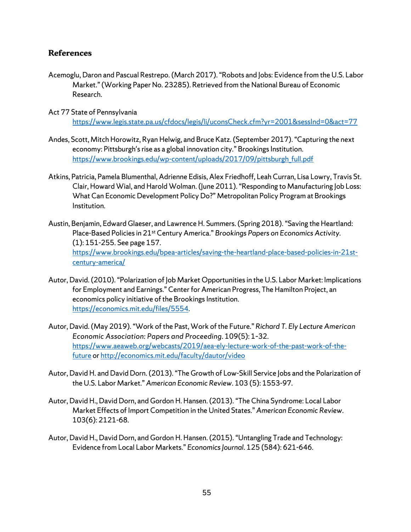## **References**

- Acemoglu, Daron and Pascual Restrepo. (March 2017). "Robots and Jobs: Evidence from the U.S. Labor Market." (Working Paper No. 23285). Retrieved from the National Bureau of Economic Research.
- Act 77 State of Pennsylvania <https://www.legis.state.pa.us/cfdocs/legis/li/uconsCheck.cfm?yr=2001&sessInd=0&act=77>
- Andes, Scott, Mitch Horowitz, Ryan Helwig, and Bruce Katz. (September 2017)."Capturing the next economy: Pittsburgh's rise as a global innovation city." Brookings Institution. [https://www.brookings.edu/wp-content/uploads/2017/09/pittsburgh\\_full.pdf](https://www.brookings.edu/wp-content/uploads/2017/09/pittsburgh_full.pdf)
- Atkins, Patricia, Pamela Blumenthal, Adrienne Edisis, Alex Friedhoff, Leah Curran, Lisa Lowry, Travis St. Clair, Howard Wial, and Harold Wolman. (June 2011)."Responding to Manufacturing Job Loss: What Can Economic Development Policy Do?" Metropolitan Policy Program at Brookings Institution.
- Austin, Benjamin, Edward Glaeser, and Lawrence H. Summers. (Spring 2018). "Saving the Heartland: Place-Based Policies in 21st Century America." *Brookings Papers on Economics Activity.* (1): 151-255. See page 157. [https://www.brookings.edu/bpea-articles/saving-the-heartland-place-based-policies-in-21st](https://www.brookings.edu/bpea-articles/saving-the-heartland-%09place-based-policies-in-21st-%09century-america/)[century-america/](https://www.brookings.edu/bpea-articles/saving-the-heartland-%09place-based-policies-in-21st-%09century-america/)
- Autor, David. (2010). "Polarization of Job Market Opportunities in the U.S. Labor Market: Implications for Employment and Earnings." Center for American Progress, The Hamilton Project, an economics policy initiative of the Brookings Institution. <https://economics.mit.edu/files/5554>*.*
- Autor, David. (May 2019)."Work of the Past, Work of the Future." *Richard T. Ely Lecture American Economic Association: Papers and Proceeding*. 109(5): 1–32. [https://www.aeaweb.org/webcasts/2019/aea-ely-lecture-work-of-the-past-work-of-the](https://www.aeaweb.org/webcasts/2019/aea-ely-lecture-work-of-the-past-work-of-the-%09future)[future](https://www.aeaweb.org/webcasts/2019/aea-ely-lecture-work-of-the-past-work-of-the-%09future) or<http://economics.mit.edu/faculty/dautor/video>
- Autor, David H. and David Dorn. (2013). "The Growth of Low-Skill Service Jobs and the Polarization of the U.S. Labor Market." *American Economic Review*. 103 (5): 1553-97*.*
- Autor, David H., David Dorn, and Gordon H. Hansen. (2013). "The China Syndrome: Local Labor Market Effects of Import Competition in the United States." *American Economic Review*. 103(6): 2121-68*.*
- Autor, David H., David Dorn, and Gordon H. Hansen. (2015). "Untangling Trade and Technology: Evidence from Local Labor Markets." *Economics Journal*. 125 (584): 621-646*.*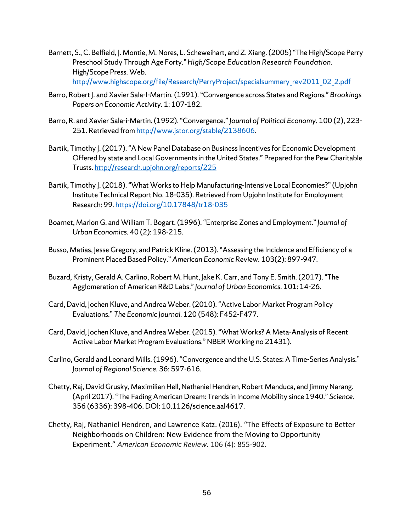- Barnett, S., C. Belfield, J. Montie, M. Nores, L. Scheweihart, and Z. Xiang. (2005) "The High/Scope Perry Preschool Study Through Age Forty*." High/Scope Education Research Foundation.* High/Scope Press. Web. [http://www.highscope.org/file/Research/PerryProject/specialsummary\\_rev2011\\_02\\_2.pdf](http://www.highscope.org/file/Research/PerryProject/specialsummary_rev2011_02_2.pdf)
- Barro, Robert J. and Xavier Sala-I-Martin. (1991). "Convergence across States and Regions." *Brookings Papers on Economic Activity*. 1: 107-182.
- Barro, R. and Xavier Sala-i-Martin. (1992). "Convergence."*Journal of Political Economy.* 100 (2), 223- 251. Retrieved fro[m http://www.jstor.org/stable/2138606.](http://www.jstor.org/stable/2138606)
- Bartik, Timothy J.(2017). "A New Panel Database on Business Incentives for Economic Development Offered by state and Local Governments in the United States." Prepared for the Pew Charitable Trusts.<http://research.upjohn.org/reports/225>
- Bartik, Timothy J. (2018). "What Works to Help Manufacturing-Intensive Local Economies?"(Upjohn Institute Technical Report No. 18-035). Retrieved from Upjohn Institute for Employment Research: 99[. https://doi.org/10.17848/tr18-035](https://doi.org/10.17848/tr18-035)
- Boarnet, Marlon G. and William T. Bogart. (1996). "Enterprise Zones and Employment." *Journal of Urban Economics.* 40 (2): 198-215.
- Busso, Matias, Jesse Gregory, and Patrick Kline. (2013). "Assessing the Incidence and Efficiency of a Prominent Placed Based Policy." *American Economic Review.* 103(2): 897-947.
- Buzard, Kristy, Gerald A. Carlino, Robert M. Hunt, Jake K. Carr, and Tony E. Smith. (2017). "The Agglomeration of American R&D Labs." *Journal of Urban Economics.* 101: 14-26.
- Card, David, Jochen Kluve, and Andrea Weber. (2010). "Active Labor Market Program Policy Evaluations." *The Economic Journal.* 120 (548): F452-F477.
- Card, David, Jochen Kluve, and Andrea Weber. (2015). "What Works? A Meta-Analysis of Recent Active Labor Market Program Evaluations." NBER Working no 21431).
- Carlino, Gerald and Leonard Mills. (1996). "Convergence and the U.S. States: A Time-Series Analysis." *Journal of Regional Science.* 36: 597-616.
- Chetty, Raj, David Grusky, Maximilian Hell, Nathaniel Hendren, Robert Manduca, and Jimmy Narang. (April 2017). "The Fading American Dream: Trends in Income Mobility since 1940." *Science.* 356 (6336): 398-406. DOI: 10.1126/science.aal4617.
- Chetty, Raj, Nathaniel Hendren, and Lawrence Katz. (2016). "The Effects of Exposure to Better Neighborhoods on Children: New Evidence from the Moving to Opportunity Experiment." *American Economic Review*. 106 (4): 855-902.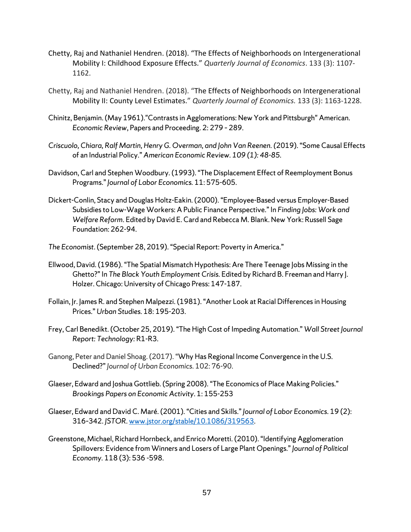- Chetty, Raj and Nathaniel Hendren. (2018). "The Effects of Neighborhoods on Intergenerational Mobility I: Childhood Exposure Effects." *Quarterly Journal of Economics*. 133 (3): 1107- 1162.
- Chetty, Raj and Nathaniel Hendren. (2018). "The Effects of Neighborhoods on Intergenerational Mobility II: County Level Estimates." *Quarterly Journal of Economics.* 133 (3): 1163-1228.
- Chinitz, Benjamin. (May 1961)."Contrasts in Agglomerations: New York and Pittsburgh" American. *Economic Review*, Papers and Proceeding. 2: 279 – 289.
- *Criscuolo, Chiara, Ralf Martin, Henry G. Overman, and John Van Reenen. (*2019)."Some Causal Effects of an Industrial Policy." *American Economic Review. 109 (1): 48-85.*
- Davidson, Carl and Stephen Woodbury. (1993). "The Displacement Effect of Reemployment Bonus Programs." *Journal of Labor Economics.* 11: 575-605.
- Dickert-Conlin, Stacy and Douglas Holtz-Eakin. (2000). "Employee-Based versus Employer-Based Subsidies to Low-Wage Workers: A Public Finance Perspective." In *Finding Jobs: Work and Welfare Reform*. Edited by David E. Card and Rebecca M. Blank. New York: Russell Sage Foundation: 262-94.
- *The Economist*. (September 28, 2019). "Special Report: Poverty in America."
- Ellwood, David. (1986). "The Spatial Mismatch Hypothesis: Are There Teenage Jobs Missing in the Ghetto?" In *The Black Youth Employment Crisis.* Edited by Richard B. Freeman and Harry J. Holzer. Chicago: University of Chicago Press: 147-187.
- Follain, Jr. James R. and Stephen Malpezzi. (1981). "Another Look at Racial Differences in Housing Prices." *Urban Studies.* 18: 195-203.
- Frey, Carl Benedikt. (October 25, 2019). "The High Cost of Impeding Automation." *Wall Street Journal Report: Technology:* R1-R3.
- Ganong, Peter and Daniel Shoag. (2017). "Why Has Regional Income Convergence in the U.S. Declined?"*Journal of Urban Economics*. 102: 76-90.
- Glaeser, Edward and Joshua Gottlieb. (Spring 2008)."The Economics of Place Making Policies." *Brookings Papers on Economic Activity*. 1: 155-253
- Glaeser, Edward and David C. Maré. (2001). "Cities and Skills." *Journal of Labor Economics*. 19 (2): 316–342. *JSTOR*[. www.jstor.org/stable/10.1086/319563.](http://www.jstor.org/stable/10.1086/319563)
- Greenstone, Michael, Richard Hornbeck, and Enrico Moretti. (2010). "Identifying Agglomeration Spillovers: Evidence from Winners and Losers of Large Plant Openings." *Journal of Political Economy.* 118 (3): 536 -598.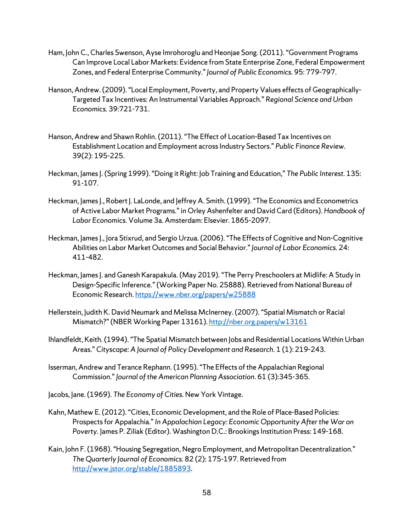- Ham, John C., Charles Swenson, Ayse Imrohoroglu and Heonjae Song. (2011). "Government Programs Can Improve Local Labor Markets: Evidence from State Enterprise Zone, Federal Empowerment Zones, and Federal Enterprise Community." *Journal of Public Economics.* 95: 779-797.
- Hanson, Andrew. (2009). "Local Employment, Poverty, and Property Values effects of Geographically-Targeted Tax Incentives: An Instrumental Variables Approach." *Regional Science and Urban Economics.* 39:721-731.
- Hanson, Andrew and Shawn Rohlin. (2011). "The Effect of Location-Based Tax Incentives on Establishment Location and Employment across Industry Sectors." *Public Finance Review.* 39(2): 195-225.
- Heckman, James J. (Spring 1999). "Doing it Right: Job Training and Education," *The Public Interest.* 135: 91-107.
- Heckman, James J., Robert J. LaLonde, and Jeffrey A. Smith. (1999). "The Economics and Econometrics of Active Labor Market Programs." in Orley Ashenfelter and David Card (Editors). *Handbook of Labor Economics.* Volume 3a. Amsterdam: Elsevier. 1865-2097.
- Heckman, James J., Jora Stixrud, and Sergio Urzua. (2006). "The Effects of Cognitive and Non-Cognitive Abilities on Labor Market Outcomes and Social Behavior." *Journal of Labor Economics.* 24: 411-482.
- Heckman, James J. and Ganesh Karapakula. (May 2019). "The Perry Preschoolers at Midlife: A Study in Design-Specific Inference."(Working Paper No. 25888). Retrieved from National Bureau of Economic Research. <https://www.nber.org/papers/w25888>
- Hellerstein, Judith K. David Neumark and Melissa McInerney. (2007). "Spatial Mismatch or Racial Mismatch?" (NBER Working Paper 13161)[. http://nber.org.papers/w13161](http://nber.org.papers/w13161)
- Ihlandfeldt, Keith. (1994). "The Spatial Mismatch between Jobs and Residential Locations Within Urban Areas." *Cityscape: A Journal of Policy Development and Research*. 1 (1): 219-243.
- Isserman, Andrew and Terance Rephann. (1995). "The Effects of the Appalachian Regional Commission." *Journal of the American Planning Association*. 61 (3):345-365.
- Jacobs, Jane. (1969). *The Economy of Cities.* New York Vintage.
- Kahn, Mathew E. (2012). "Cities, Economic Development, and the Role of Place-Based Policies: Prospects for Appalachia." *In Appalachian Legacy: Economic Opportunity After the War on Poverty.* James P. Ziliak (Editor). Washington D.C.: Brookings Institution Press: 149-168.
- Kain, John F. (1968). "Housing Segregation, Negro Employment, and Metropolitan Decentralization." *The Quarterly Journal of Economics.* 82 (2): 175-197. Retrieved from [http://www.jstor.org/stable/1885893.](http://www.jstor.org/stable/1885893)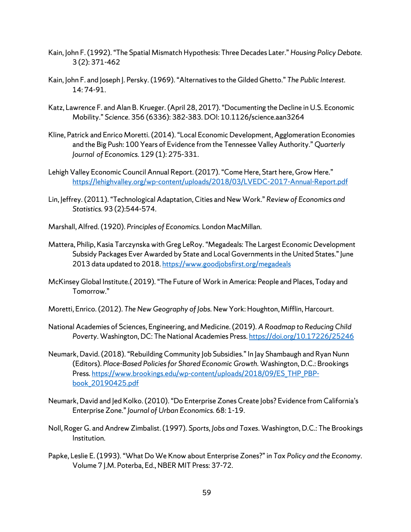- Kain, John F.(1992). "The Spatial Mismatch Hypothesis: Three Decades Later." *Housing Policy Debate.*  3 (2): 371-462
- Kain, John F. and Joseph J. Persky. (1969). "Alternatives to the Gilded Ghetto." *The Public Interest.*  14: 74-91.
- Katz, Lawrence F. and Alan B. Krueger. (April 28, 2017). "Documenting the Decline in U.S. Economic Mobility." *Science.* 356 (6336): 382-383. DOI: 10.1126/science.aan3264
- Kline, Patrick and Enrico Moretti. (2014). "Local Economic Development, Agglomeration Economies and the Big Push: 100 Years of Evidence from the Tennessee Valley Authority." *Quarterly Journal of Economics.* 129 (1): 275-331.
- Lehigh Valley Economic Council Annual Report. (2017)."Come Here, Start here, Grow Here." <https://lehighvalley.org/wp-content/uploads/2018/03/LVEDC-2017-Annual-Report.pdf>
- Lin, Jeffrey. (2011). "Technological Adaptation, Cities and New Work." *Review of Economics and Statistics.* 93 (2):544-574.
- Marshall, Alfred.(1920). *Principles of Economics.* London MacMillan.
- Mattera, Philip, Kasia Tarczynska with Greg LeRoy. "Megadeals: The Largest Economic Development Subsidy Packages Ever Awarded by State and Local Governments in the United States." June 2013 data updated to 2018. <https://www.goodjobsfirst.org/megadeals>
- McKinsey Global Institute.( 2019). "The Future of Work in America: People and Places, Today and Tomorrow."
- Moretti, Enrico. (2012). *The New Geography of Jobs.* New York: Houghton, Mifflin, Harcourt.
- National Academies of Sciences, Engineering, and Medicine. (2019). *A Roadmap to Reducing Child Poverty*. Washington, DC: The National Academies Press[. https://doi.org/10.17226/25246](https://doi.org/10.17226/25246)
- Neumark, David. (2018). "Rebuilding Community Job Subsidies." In Jay Shambaugh and Ryan Nunn (Editors). *Place-Based Policies for Shared Economic Growth.* Washington, D.C.: Brookings Press. [https://www.brookings.edu/wp-content/uploads/2018/09/ES\\_THP\\_PBP](https://www.brookings.edu/wp-content/uploads/2018/09/ES_THP_PBP-book_20190425.pdf)[book\\_20190425.pdf](https://www.brookings.edu/wp-content/uploads/2018/09/ES_THP_PBP-book_20190425.pdf)
- Neumark, David and Jed Kolko. (2010). "Do Enterprise Zones Create Jobs? Evidence from California's Enterprise Zone." *Journal of Urban Economics.* 68: 1-19.
- Noll, Roger G. andAndrew Zimbalist. (1997). *Sports, Jobs and Taxes*. Washington, D.C.: The Brookings Institution.
- Papke, Leslie E. (1993). "What Do We Know about Enterprise Zones?" in *Tax Policy and the Economy*. Volume 7 J.M. Poterba, Ed., NBER MIT Press: 37-72.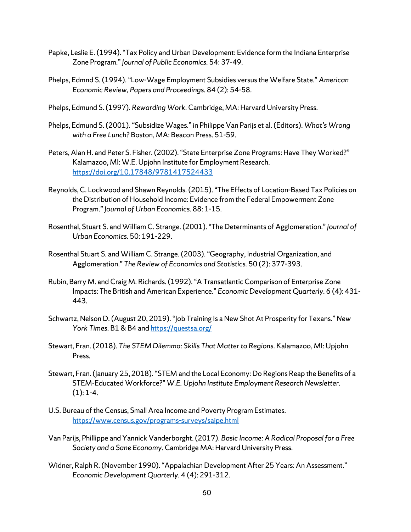- Papke, Leslie E. (1994). "Tax Policy and Urban Development: Evidence form the Indiana Enterprise Zone Program."*Journal of Public Economics.* 54: 37-49.
- Phelps, Edmnd S. (1994). "Low-Wage Employment Subsidies versus the Welfare State." *American Economic Review, Papers and Proceedings*. 84 (2): 54-58.
- Phelps, Edmund S. (1997). *Rewarding Work*. Cambridge, MA: Harvard University Press.
- Phelps, Edmund S. (2001). "Subsidize Wages." in Philippe Van Parijs et al. (Editors). *What's Wrong with a Free Lunch?* Boston, MA: Beacon Press. 51-59.
- Peters, Alan H. and Peter S. Fisher. (2002). "State Enterprise Zone Programs: Have They Worked?" Kalamazoo, MI: W.E. Upjohn Institute for Employment Research. <https://doi.org/10.17848/9781417524433>
- Reynolds, C. Lockwood and Shawn Reynolds. (2015). "The Effects of Location-Based Tax Policies on the Distribution of Household Income: Evidence from the Federal Empowerment Zone Program." *Journal of Urban Economics.* 88: 1-15.
- Rosenthal, Stuart S. and William C. Strange. (2001). "The Determinants of Agglomeration." *Journal of Urban Economics.* 50: 191-229.
- Rosenthal Stuart S. and William C. Strange. (2003). "Geography, Industrial Organization, and Agglomeration." *The Review of Economics and Statistics.* 50 (2): 377-393.
- Rubin, Barry M. and Craig M. Richards. (1992). "A Transatlantic Comparison of Enterprise Zone Impacts: The British and American Experience." *Economic Development Quarterly.* 6 (4): 431- 443.
- Schwartz, Nelson D. (August 20, 2019)."Job Training Is a New Shot At Prosperity for Texans." *New York Times*. B1 & B4 an[d https://questsa.org/](https://questsa.org/)
- Stewart, Fran. (2018). *The STEM Dilemma: Skills That Matter to Regions.* Kalamazoo, MI: Upjohn Press.
- Stewart, Fran. (January 25, 2018). "STEM and the Local Economy: Do Regions Reap the Benefits of a STEM-Educated Workforce?" *W.E. Upjohn Institute Employment Research Newsletter*.  $(1): 1 - 4.$
- U.S. Bureau of the Census, Small Area Income and Poverty Program Estimates. <https://www.census.gov/programs-surveys/saipe.html>
- Van Parijs, Phillippe and Yannick Vanderborght. (2017). *Basic Income: A Radical Proposal for a Free Society and a Sane Economy.* Cambridge MA: Harvard University Press.
- Widner, Ralph R. (November 1990). "Appalachian Development After 25 Years: An Assessment." *Economic Development Quarterly.* 4 (4): 291-312*.*